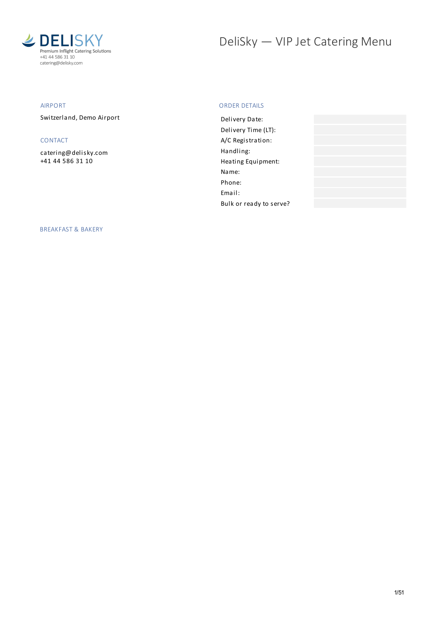

# DeliSky - VIP Jet Catering Menu

# AIRPORT

Switzerland, Demo Airport

# CONTACT

[catering@delisky.com](mailto:catering@delisky.com) +41 44 586 31 10

# ORDER DETAILS

| Delivery Date:          |  |
|-------------------------|--|
| Delivery Time (LT):     |  |
| A/C Registration:       |  |
| Handling:               |  |
| Heating Equipment:      |  |
| Name:                   |  |
| Phone:                  |  |
| Email:                  |  |
| Bulk or ready to serve? |  |

BREAKFAST & BAKERY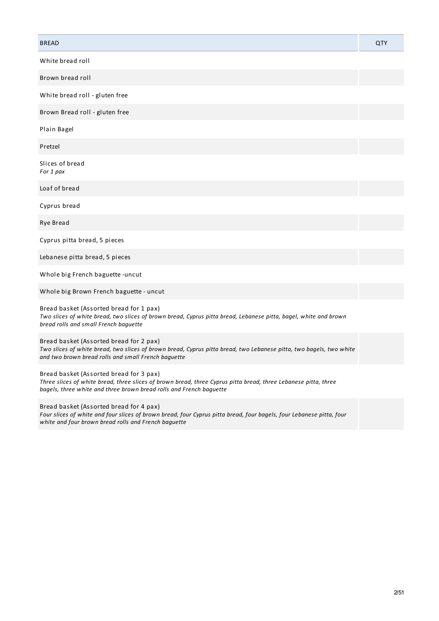| <b>BREAD</b>                                                                                                                                                                                                                      | QTY |
|-----------------------------------------------------------------------------------------------------------------------------------------------------------------------------------------------------------------------------------|-----|
| White bread roll                                                                                                                                                                                                                  |     |
| Brown bread roll                                                                                                                                                                                                                  |     |
| White bread roll - gluten free                                                                                                                                                                                                    |     |
| Brown Bread roll - gluten free                                                                                                                                                                                                    |     |
| Plain Bagel                                                                                                                                                                                                                       |     |
| Pretzel                                                                                                                                                                                                                           |     |
| Slices of bread<br>For 1 pax                                                                                                                                                                                                      |     |
| Loaf of bread                                                                                                                                                                                                                     |     |
| Cyprus bread                                                                                                                                                                                                                      |     |
| Rye Bread                                                                                                                                                                                                                         |     |
| Cyprus pitta bread, 5 pieces                                                                                                                                                                                                      |     |
| Lebanese pitta bread, 5 pieces                                                                                                                                                                                                    |     |
| Whole big French baguette - uncut                                                                                                                                                                                                 |     |
| Whole big Brown French baguette - uncut                                                                                                                                                                                           |     |
| Bread basket (Assorted bread for 1 pax)<br>Two slices of white bread, two slices of brown bread, Cyprus pitta bread, Lebanese pitta, bagel, white and brown<br>bread rolls and small French baguette                              |     |
| Bread basket (Assorted bread for 2 pax)<br>Two slices of white bread, two slices of brown bread, Cyprus pitta bread, two Lebanese pitta, two bagels, two white<br>and two brown bread rolls and small French baquette             |     |
| Bread basket (Assorted bread for 3 pax)<br>Three slices of white bread, three slices of brown bread, three Cyprus pitta bread, three Lebanese pitta, three<br>bagels, three white and three brown bread rolls and French baguette |     |
| Bread basket (Assorted bread for 4 pax)<br>Four slices of white and four slices of brown bread, four Cyprus pitta bread, four bagels, four Lebanese pitta, four<br>white and four brown bread rolls and French baguette           |     |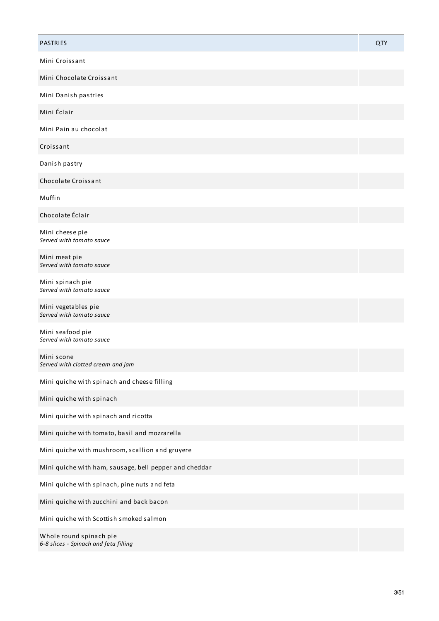| <b>PASTRIES</b>                                                  | <b>QTY</b> |
|------------------------------------------------------------------|------------|
| Mini Croissant                                                   |            |
| Mini Chocolate Croissant                                         |            |
| Mini Danish pastries                                             |            |
| Mini Éclair                                                      |            |
| Mini Pain au chocolat                                            |            |
| Croissant                                                        |            |
| Danish pastry                                                    |            |
| Chocolate Croissant                                              |            |
| Muffin                                                           |            |
| Chocolate Éclair                                                 |            |
| Mini cheese pie<br>Served with tomato sauce                      |            |
| Mini meat pie<br>Served with tomato sauce                        |            |
| Mini spinach pie<br>Served with tomato sauce                     |            |
| Mini vegetables pie<br>Served with tomato sauce                  |            |
| Mini seafood pie<br>Served with tomato sauce                     |            |
| Mini scone<br>Served with clotted cream and jam                  |            |
| Mini quiche with spinach and cheese filling                      |            |
| Mini quiche with spinach                                         |            |
| Mini quiche with spinach and ricotta                             |            |
| Mini quiche with tomato, basil and mozzarella                    |            |
| Mini quiche with mushroom, scallion and gruyere                  |            |
| Mini quiche with ham, sausage, bell pepper and cheddar           |            |
| Mini quiche with spinach, pine nuts and feta                     |            |
| Mini quiche with zucchini and back bacon                         |            |
| Mini quiche with Scottish smoked salmon                          |            |
| Whole round spinach pie<br>6-8 slices - Spinach and feta filling |            |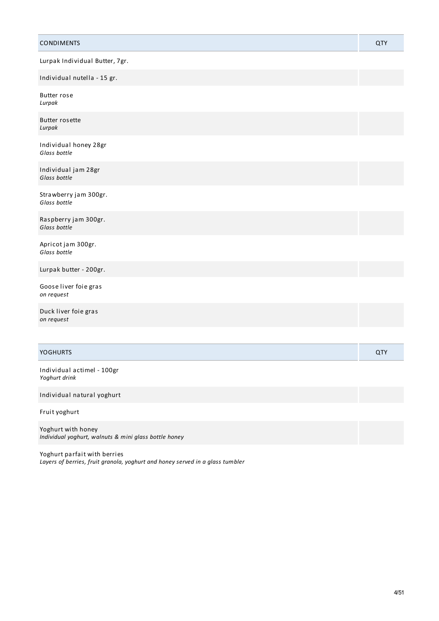| <b>CONDIMENTS</b>                           | QTY        |
|---------------------------------------------|------------|
| Lurpak Individual Butter, 7gr.              |            |
| Individual nutella - 15 gr.                 |            |
| <b>Butter rose</b><br>Lurpak                |            |
| <b>Butter rosette</b><br>Lurpak             |            |
| Individual honey 28gr<br>Glass bottle       |            |
| Individual jam 28gr<br>Glass bottle         |            |
| Strawberry jam 300gr.<br>Glass bottle       |            |
| Raspberry jam 300gr.<br>Glass bottle        |            |
| Apricot jam 300gr.<br>Glass bottle          |            |
| Lurpak butter - 200gr.                      |            |
| Goose liver foie gras<br>on request         |            |
| Duck liver foie gras<br>on request          |            |
|                                             |            |
| <b>YOGHURTS</b>                             | <b>QTY</b> |
| Individual actimel - 100gr<br>Yoghurt drink |            |
| Individual natural yoghurt                  |            |

Fruit yoghurt

Yoghurt with honey *Individual yoghurt, walnuts & mini glass bottle honey*

Yoghurt parfait with berries *Layers of berries, fruit granola, yoghurt and honey served in a glass tumbler*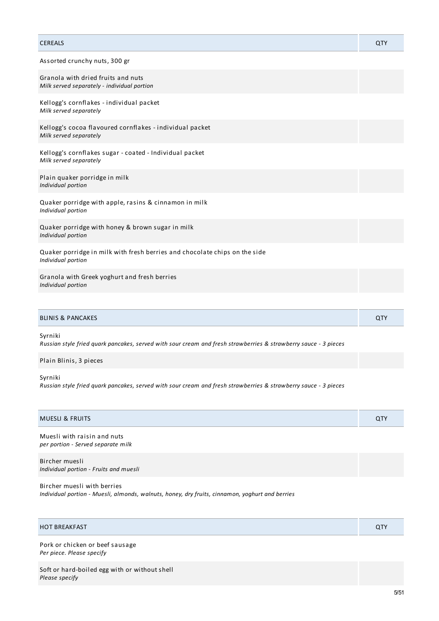| <b>CEREALS</b>                                                                                   | QTY |
|--------------------------------------------------------------------------------------------------|-----|
| Assorted crunchy nuts, 300 gr                                                                    |     |
| Granola with dried fruits and nuts<br>Milk served separately - individual portion                |     |
| Kellogg's cornflakes - individual packet<br>Milk served separately                               |     |
| Kellogg's cocoa flavoured cornflakes - individual packet<br>Milk served separately               |     |
| Kellogg's cornflakes sugar - coated - Individual packet<br>Milk served separately                |     |
| Plain quaker porridge in milk<br>Individual portion                                              |     |
| Quaker porridge with apple, rasins & cinnamon in milk<br>Individual portion                      |     |
| Quaker porridge with honey & brown sugar in milk<br>Individual portion                           |     |
| Quaker porridge in milk with fresh berries and chocolate chips on the side<br>Individual portion |     |
| Granola with Greek yoghurt and fresh berries<br>Individual portion                               |     |
|                                                                                                  |     |

| <b>BLINIS &amp; PANCAKES</b> | ∩™<br>$\overline{\phantom{a}}$ |
|------------------------------|--------------------------------|
|------------------------------|--------------------------------|

Syrniki

Russian style fried quark pancakes, served with sour cream and fresh strawberries & strawberry sauce - 3 pieces

Plain Blinis, 3 pieces

Syrniki

Russian style fried quark pancakes, served with sour cream and fresh strawberries & strawberry sauce - 3 pieces

| <b>MUESLI &amp; FRUITS</b>                                        | <b>QTY</b> |
|-------------------------------------------------------------------|------------|
| Muesli with raisin and nuts<br>per portion - Served separate milk |            |
| Bircher muesli<br>Individual portion - Fruits and muesli          |            |

Bircher muesli with berries *Individual portion - Muesli, almonds, walnuts, honey, dry fruits, cinnamon, yoghurt and berries*

| <b>HOT BREAKFAST</b><br>⌒⊤∿ |
|-----------------------------|
|-----------------------------|

Pork or chicken or beef sausage *Per piece. Please specify*

Soft or hard-boiled egg with or without shell *Please specify*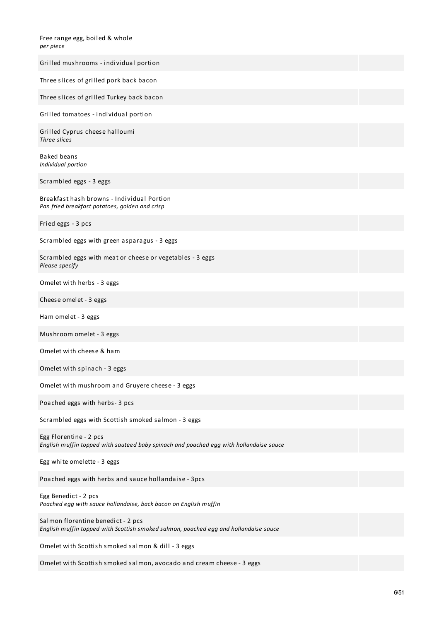| Free range egg, boiled & whole |  |
|--------------------------------|--|
| per piece                      |  |

| Grilled mushrooms - individual portion                                                                                     |
|----------------------------------------------------------------------------------------------------------------------------|
| Three slices of grilled pork back bacon                                                                                    |
| Three slices of grilled Turkey back bacon                                                                                  |
| Grilled tomatoes - individual portion                                                                                      |
| Grilled Cyprus cheese halloumi<br>Three slices                                                                             |
| Baked beans<br>Individual portion                                                                                          |
| Scrambled eggs - 3 eggs                                                                                                    |
| Breakfast hash browns - Individual Portion<br>Pan fried breakfast potatoes, golden and crisp                               |
| Fried eggs - 3 pcs                                                                                                         |
| Scrambled eggs with green asparagus - 3 eggs                                                                               |
| Scrambled eggs with meat or cheese or vegetables - 3 eggs<br>Please specify                                                |
| Omelet with herbs - 3 eggs                                                                                                 |
| Cheese omelet - 3 eggs                                                                                                     |
| Ham omelet - 3 eggs                                                                                                        |
| Mushroom omelet - 3 eggs                                                                                                   |
| Omelet with cheese & ham                                                                                                   |
| Omelet with spinach - 3 eggs                                                                                               |
| Omelet with mushroom and Gruyere cheese - 3 eggs                                                                           |
| Poached eggs with herbs-3 pcs                                                                                              |
| Scrambled eggs with Scottish smoked salmon - 3 eggs                                                                        |
| Egg Florentine - 2 pcs<br>English muffin topped with sauteed baby spinach and poached egg with hollandaise sauce           |
| Egg white omelette - 3 eggs                                                                                                |
| Poached eggs with herbs and sauce hollandaise - 3pcs                                                                       |
| Egg Benedict - 2 pcs<br>Poached egg with sauce hollandaise, back bacon on English muffin                                   |
| Salmon florentine benedict - 2 pcs<br>English muffin topped with Scottish smoked salmon, poached egg and hollandaise sauce |
| Omelet with Scottish smoked salmon & dill - 3 eggs                                                                         |
| Omelet with Scottish smoked salmon, avocado and cream cheese - 3 eggs                                                      |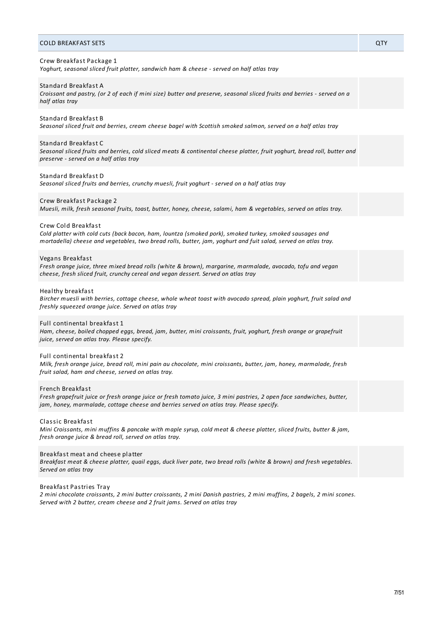# COLD BREAKFAST SETS QTY

# Crew Breakfast Package 1

*Yoghurt, seasonal sliced fruit platter, sandwich ham & cheese - served on half atlas tray*

#### Standard Breakfast A

Croissant and pastry, (or 2 of each if mini size) butter and preserve, seasonal sliced fruits and berries - served on a *half atlas tray*

# Standard Breakfast B

Seasonal sliced fruit and berries, cream cheese bagel with Scottish smoked salmon, served on a half atlas tray

#### Standard Breakfast C

Seasonal sliced fruits and berries, cold sliced meats & continental cheese platter, fruit yoghurt, bread roll, butter and *preserve - served on a half atlas tray*

# Standard Breakfast D

*Seasonal sliced fruits and berries, crunchy muesli, fruit yoghurt - served on a half atlas tray*

#### Crew Breakfast Package 2

Muesli, milk, fresh seasonal fruits, toast, butter, honey, cheese, salami, ham & vegetables, served on atlas tray.

#### Crew Cold Breakfast

*Cold platter with cold cuts (back bacon, ham, lountza (smoked pork), smoked turkey, smoked sausages and* mortadella) cheese and vegetables, two bread rolls, butter, jam, yoghurt and fuit salad, served on atlas tray.

#### Vegans Breakfast

*Fresh orange juice, three mixed bread rolls (white & brown), margarine, marmalade, avocado, tofu and vegan cheese, fresh sliced fruit, crunchy cereal and vegan dessert. Served on atlas tray*

#### Healthy breakfast

Bircher muesli with berries, cottage cheese, whole wheat toast with avocado spread, plain yoghurt, fruit salad and *freshly squeezed orange juice. Served on atlas tray*

#### Full continental breakfast 1

Ham, cheese, boiled chopped eggs, bread, jam, butter, mini croissants, fruit, yoghurt, fresh orange or grapefruit *juice, served on atlas tray. Please specify.*

## Full continental breakfast 2

Milk, fresh orange juice, bread roll, mini pain au chocolate, mini croissants, butter, jam, honey, marmalade, fresh *fruit salad, ham and cheese, served on atlas tray.*

#### French Breakfast

Fresh grapefruit juice or fresh orange juice or fresh tomato juice, 3 mini pastries, 2 open face sandwiches, butter, *jam, honey, marmalade, cottage cheese and berries served on atlas tray. Please specify.*

#### Classic Breakfast

Mini Croissants, mini muffins & pancake with maple syrup, cold meat & cheese platter, sliced fruits, butter & jam, *fresh orange juice & bread roll, served on atlas tray.*

# Breakfast meat and cheese platter

Breakfast meat & cheese platter, quail eggs, duck liver pate, two bread rolls (white & brown) and fresh vegetables. *Served on atlas tray*

### Breakfast Pastries Tray

2 mini chocolate croissants, 2 mini butter croissants, 2 mini Danish pastries, 2 mini muffins, 2 bagels, 2 mini scones. *Served with 2 butter, cream cheese and 2 fruit jams. Served on atlas tray*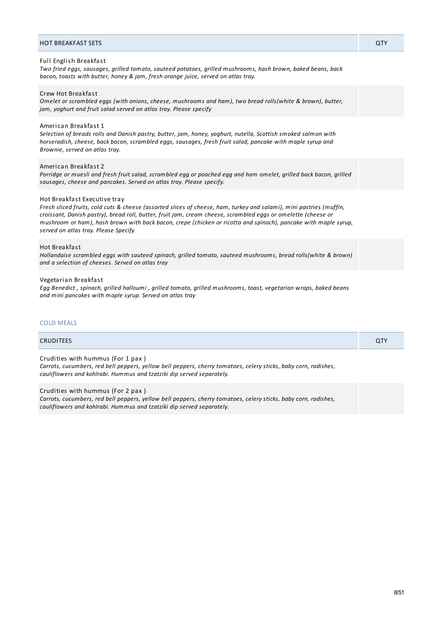#### Full English Breakfast

*Two fried eggs, sausages, grilled tomato, sauteed potatoes, grilled mushrooms, hash brown, baked beans, back bacon, toasts with butter, honey & jam, fresh orange juice, served on atlas tray.*

# Crew Hot Breakfast

*Omelet or scrambled eggs (with onions, cheese, mushrooms and ham), two bread rolls(white & brown), butter, jam, yoghurt and fruit salad served on atlas tray. Please specify*

# American Breakfast 1

*Selection of breads rolls and Danish pastry, butter, jam, honey, yoghurt, nutella, Scottish smoked salmon with horseradish, cheese, back bacon, scrambled eggs, sausages, fresh fruit salad, pancake with maple syrup and Brownie, served on atlas tray.*

#### American Breakfast 2

Porridge or muesli and fresh fruit salad, scrambled egg or poached egg and ham omelet, grilled back bacon, grilled *sausages, cheese and pancakes. Served on atlas tray. Please specify.*

# Hot Breakfast Executive tray

Fresh sliced fruits, cold cuts & cheese (assorted slices of cheese, ham, turkey and salami), mini pastries (muffin, *croissant, Danish pastry), bread roll, butter, fruit jam, cream cheese, scrambled eggs or omelette (cheese or* mushroom or ham), hash brown with back bacon, crepe (chicken or ricotta and spinach), pancake with maple syrup, *served on atlas tray. Please Specify*

# Hot Breakfast

*Hollandaise scrambled eggs with sauteed spinach, grilled tomato, sauteed mushrooms, bread rolls(white & brown) and a selection of cheeses. Served on atlas tray*

#### Vegetarian Breakfast

Egg Benedict, spinach, grilled halloumi, grilled tomato, grilled mushrooms, toast, vegetarian wraps, baked beans *and mini pancakes with maple syrup. Served on atlas tray*

# COLD MEALS

# CRUDITEES QTY Crudities with hummus (For 1 pax ) *Carrots, cucumbers, red bell peppers, yellow bell peppers, cherry tomatoes, celery sticks, baby corn, radishes, cauliflowers and kohlrabi. Hummus and tzatziki dip served separately.*

# Crudities with hummus (For 2 pax )

*Carrots, cucumbers, red bell peppers, yellow bell peppers, cherry tomatoes, celery sticks, baby corn, radishes, cauliflowers and kohlrabi. Hummus and tzatziki dip served separately.*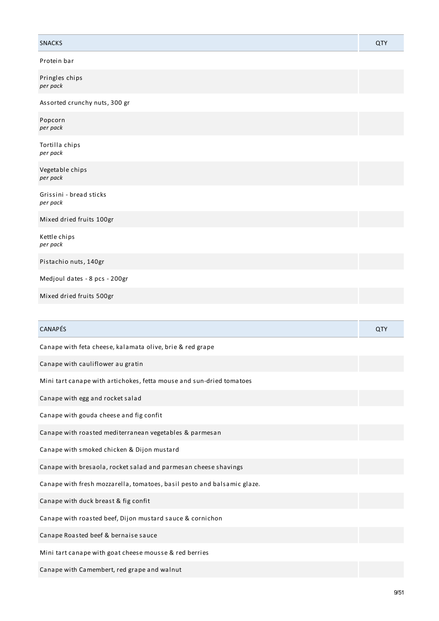| <b>SNACKS</b>                                                           | <b>QTY</b> |
|-------------------------------------------------------------------------|------------|
| Protein bar                                                             |            |
| Pringles chips<br>per pack                                              |            |
| Assorted crunchy nuts, 300 gr                                           |            |
| Popcorn<br>per pack                                                     |            |
| Tortilla chips<br>per pack                                              |            |
| Vegetable chips<br>per pack                                             |            |
| Grissini - bread sticks<br>per pack                                     |            |
| Mixed dried fruits 100gr                                                |            |
| Kettle chips<br>per pack                                                |            |
| Pistachio nuts, 140gr                                                   |            |
| Medjoul dates - 8 pcs - 200gr                                           |            |
| Mixed dried fruits 500gr                                                |            |
|                                                                         |            |
| CANAPÉS                                                                 | QTY        |
| Canape with feta cheese, kalamata olive, brie & red grape               |            |
| Canape with cauliflower au gratin                                       |            |
| Mini tart canape with artichokes, fetta mouse and sun-dried tomatoes    |            |
| Canape with egg and rocket salad                                        |            |
| Canape with gouda cheese and fig confit                                 |            |
| Canape with roasted mediterranean vegetables & parmesan                 |            |
| Canape with smoked chicken & Dijon mustard                              |            |
| Canape with bresaola, rocket salad and parmesan cheese shavings         |            |
| Canape with fresh mozzarella, tomatoes, basil pesto and balsamic glaze. |            |
| Canape with duck breast & fig confit                                    |            |
| Canape with roasted beef, Dijon mustard sauce & cornichon               |            |
| Canape Roasted beef & bernaise sauce                                    |            |
| Mini tart canape with goat cheese mousse & red berries                  |            |
| Canape with Camembert, red grape and walnut                             |            |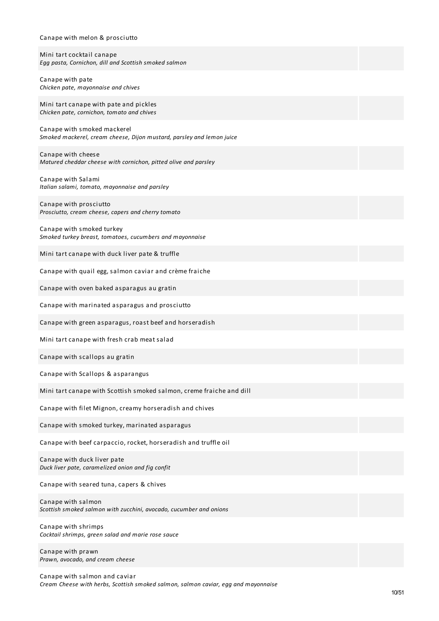# Canape with melon & prosciutto Mini tart cocktail canape *Egg pasta, Cornichon, dill and Scottish smoked salmon* Canape with pate *Chicken pate, mayonnaise and chives* Mini tart canape with pate and pickles *Chicken pate, cornichon, tomato and chives* Canape with smoked mackerel *Smoked mackerel, cream cheese, Dijon mustard, parsley and lemon juice* Canape with cheese *Matured cheddar cheese with cornichon, pitted olive and parsley* Canape with Salami *Italian salami, tomato, mayonnaise and parsley* Canape with prosciutto *Prosciutto, cream cheese, capers and cherry tomato* Canape with smoked turkey *Smoked turkey breast, tomatoes, cucumbers and mayonnaise* Mini tart canape with duck liver pate & truffle Canape with quail egg, salmon caviar and crème fraiche Canape with oven baked asparagus au gratin Canape with marinated asparagus and prosciutto Canape with green asparagus, roast beef and horseradish Mini tart canape with fresh crab meat salad Canape with scallops au gratin Canape with Scallops & asparangus Mini tart canape with Scottish smoked salmon, creme fraiche and dill Canape with filet Mignon, creamy horseradish and chives Canape with smoked turkey, marinated asparagus Canape with beef carpaccio, rocket, horseradish and truffle oil Canape with duck liver pate *Duck liver pate, caramelized onion and fig confit* Canape with seared tuna, capers & chives Canape with salmon *Scottish smoked salmon with zucchini, avocado, cucumber and onions* Canape with shrimps *Cocktail shrimps, green salad and marie rose sauce* Canape with prawn *Prawn, avocado, and cream cheese*

Canape with salmon and caviar *Cream Cheese with herbs, Scottish smoked salmon, salmon caviar, egg and mayonnaise*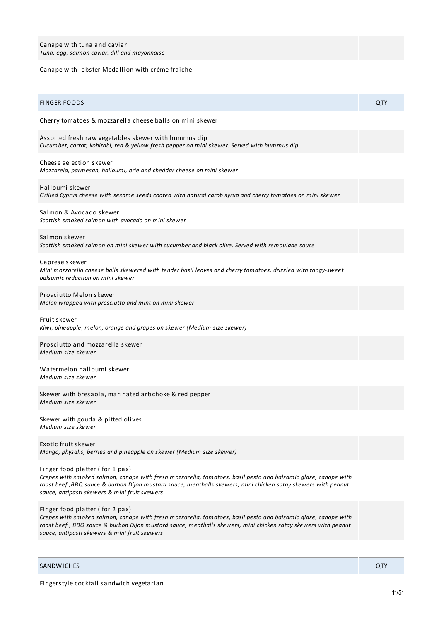# Canape with lobster Medallion with crème fraiche

| <b>FINGER FOODS</b>                                                                                                                                                                                                                                                                                                  | QTY |
|----------------------------------------------------------------------------------------------------------------------------------------------------------------------------------------------------------------------------------------------------------------------------------------------------------------------|-----|
| Cherry tomatoes & mozzarella cheese balls on mini skewer                                                                                                                                                                                                                                                             |     |
| Assorted fresh raw vegetables skewer with hummus dip<br>Cucumber, carrot, kohlrabi, red & yellow fresh pepper on mini skewer. Served with hummus dip                                                                                                                                                                 |     |
| Cheese selection skewer<br>Mozzarela, parmesan, halloumi, brie and cheddar cheese on mini skewer                                                                                                                                                                                                                     |     |
| Halloumi skewer<br>Grilled Cyprus cheese with sesame seeds coated with natural carob syrup and cherry tomatoes on mini skewer                                                                                                                                                                                        |     |
| Salmon & Avocado skewer<br>Scottish smoked salmon with avocado on mini skewer                                                                                                                                                                                                                                        |     |
| Salmon skewer<br>Scottish smoked salmon on mini skewer with cucumber and black olive. Served with remoulade sauce                                                                                                                                                                                                    |     |
| Caprese skewer<br>Mini mozzarella cheese balls skewered with tender basil leaves and cherry tomatoes, drizzled with tangy-sweet<br>balsamic reduction on mini skewer                                                                                                                                                 |     |
| Prosciutto Melon skewer<br>Melon wrapped with prosciutto and mint on mini skewer                                                                                                                                                                                                                                     |     |
| Fruit skewer<br>Kiwi, pineapple, melon, orange and grapes on skewer (Medium size skewer)                                                                                                                                                                                                                             |     |
| Prosciutto and mozzarella skewer<br>Medium size skewer                                                                                                                                                                                                                                                               |     |
| Watermelon halloumi skewer<br>Medium size skewer                                                                                                                                                                                                                                                                     |     |
| Skewer with bresaola, marinated artichoke & red pepper<br>Medium size skewer                                                                                                                                                                                                                                         |     |
| Skewer with gouda & pitted olives<br>Medium size skewer                                                                                                                                                                                                                                                              |     |
| Exotic fruit skewer<br>Mango, physalis, berries and pineapple on skewer (Medium size skewer)                                                                                                                                                                                                                         |     |
| Finger food platter (for 1 pax)<br>Crepes with smoked salmon, canape with fresh mozzarella, tomatoes, basil pesto and balsamic glaze, canape with<br>roast beef , BBQ sauce & burbon Dijon mustard sauce, meatballs skewers, mini chicken satay skewers with peanut<br>sauce, antipasti skewers & mini fruit skewers |     |
| Finger food platter (for 2 pax)<br>Crepes with smoked salmon, canape with fresh mozzarella, tomatoes, basil pesto and balsamic glaze, canape with<br>roast beef, BBQ sauce & burbon Dijon mustard sauce, meatballs skewers, mini chicken satay skewers with peanut<br>sauce, antipasti skewers & mini fruit skewers  |     |
|                                                                                                                                                                                                                                                                                                                      |     |

**SANDWICHES QTY**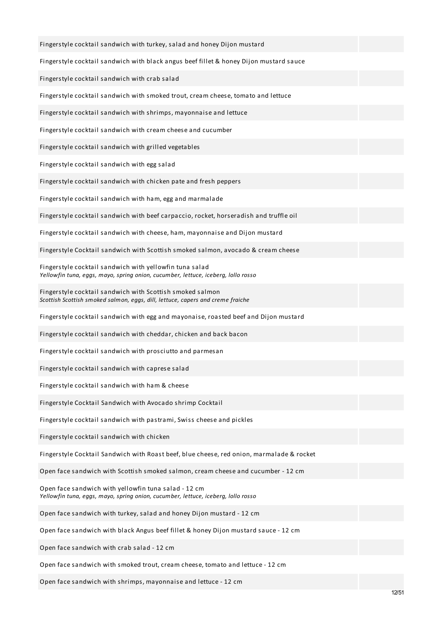| Fingerstyle cocktail sandwich with turkey, salad and honey Dijon mustard                                                                     |  |
|----------------------------------------------------------------------------------------------------------------------------------------------|--|
| Fingerstyle cocktail sandwich with black angus beef fillet & honey Dijon mustard sauce                                                       |  |
| Fingerstyle cocktail sandwich with crab salad                                                                                                |  |
| Fingerstyle cocktail sandwich with smoked trout, cream cheese, tomato and lettuce                                                            |  |
| Fingerstyle cocktail sandwich with shrimps, mayonnaise and lettuce                                                                           |  |
| Fingerstyle cocktail sandwich with cream cheese and cucumber                                                                                 |  |
| Fingerstyle cocktail sandwich with grilled vegetables                                                                                        |  |
| Fingerstyle cocktail sandwich with egg salad                                                                                                 |  |
| Fingerstyle cocktail sandwich with chicken pate and fresh peppers                                                                            |  |
| Fingerstyle cocktail sandwich with ham, egg and marmalade                                                                                    |  |
| Fingerstyle cocktail sandwich with beef carpaccio, rocket, horseradish and truffle oil                                                       |  |
| Fingerstyle cocktail sandwich with cheese, ham, mayonnaise and Dijon mustard                                                                 |  |
| Fingerstyle Cocktail sandwich with Scottish smoked salmon, avocado & cream cheese                                                            |  |
| Fingerstyle cocktail sandwich with yellowfin tuna salad<br>Yellowfin tuna, eggs, mayo, spring onion, cucumber, lettuce, iceberg, lollo rosso |  |
| Fingerstyle cocktail sandwich with Scottish smoked salmon<br>Scottish Scottish smoked salmon, eggs, dill, lettuce, capers and creme fraiche  |  |
| Fingerstyle cocktail sandwich with egg and mayonaise, roasted beef and Dijon mustard                                                         |  |
| Fingerstyle cocktail sandwich with cheddar, chicken and back bacon                                                                           |  |
| Fingerstyle cocktail sandwich with prosciutto and parmesan                                                                                   |  |
| Fingerstyle cocktail sandwich with caprese salad                                                                                             |  |
| Fingerstyle cocktail sandwich with ham & cheese                                                                                              |  |
| Fingerstyle Cocktail Sandwich with Avocado shrimp Cocktail                                                                                   |  |
| Fingerstyle cocktail sandwich with pastrami, Swiss cheese and pickles                                                                        |  |
| Fingerstyle cocktail sandwich with chicken                                                                                                   |  |
| Fingerstyle Cocktail Sandwich with Roast beef, blue cheese, red onion, marmalade & rocket                                                    |  |
| Open face sandwich with Scottish smoked salmon, cream cheese and cucumber - 12 cm                                                            |  |
| Open face sandwich with yellowfin tuna salad - 12 cm<br>Yellowfin tuna, eggs, mayo, spring onion, cucumber, lettuce, iceberg, lollo rosso    |  |
| Open face sandwich with turkey, salad and honey Dijon mustard - 12 cm                                                                        |  |
| Open face sandwich with black Angus beef fillet & honey Dijon mustard sauce - 12 cm                                                          |  |
| Open face sandwich with crab salad - 12 cm                                                                                                   |  |
| Open face sandwich with smoked trout, cream cheese, tomato and lettuce - 12 cm                                                               |  |

Open face sandwich with shrimps, mayonnaise and lettuce - 12 cm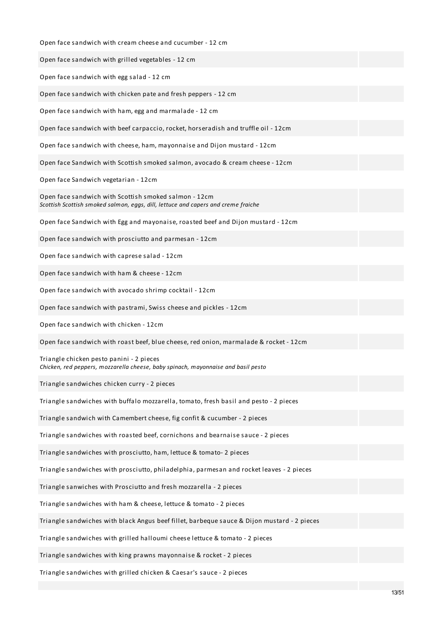| Open face sandwich with cream cheese and cucumber - 12 cm                                                                                  |  |
|--------------------------------------------------------------------------------------------------------------------------------------------|--|
| Open face sandwich with grilled vegetables - 12 cm                                                                                         |  |
| Open face sandwich with egg salad - 12 cm                                                                                                  |  |
| Open face sandwich with chicken pate and fresh peppers - 12 cm                                                                             |  |
| Open face sandwich with ham, egg and marmalade - 12 cm                                                                                     |  |
| Open face sandwich with beef carpaccio, rocket, horseradish and truffle oil - 12cm                                                         |  |
| Open face sandwich with cheese, ham, mayonnaise and Dijon mustard - 12cm                                                                   |  |
| Open face Sandwich with Scottish smoked salmon, avocado & cream cheese - 12cm                                                              |  |
| Open face Sandwich vegetarian - 12cm                                                                                                       |  |
| Open face sandwich with Scottish smoked salmon - 12cm<br>Scottish Scottish smoked salmon, eggs, dill, lettuce and capers and creme fraiche |  |
| Open face Sandwich with Egg and mayonaise, roasted beef and Dijon mustard - 12cm                                                           |  |
| Open face sandwich with prosciutto and parmesan - 12cm                                                                                     |  |
| Open face sandwich with caprese salad - 12cm                                                                                               |  |
| Open face sandwich with ham & cheese - 12cm                                                                                                |  |
| Open face sandwich with avocado shrimp cocktail - 12cm                                                                                     |  |
| Open face sandwich with pastrami, Swiss cheese and pickles - 12cm                                                                          |  |
| Open face sandwich with chicken - 12cm                                                                                                     |  |
| Open face sandwich with roast beef, blue cheese, red onion, marmalade & rocket - 12cm                                                      |  |
| Triangle chicken pesto panini - 2 pieces<br>Chicken, red peppers, mozzarella cheese, baby spinach, mayonnaise and basil pesto              |  |
| Triangle sandwiches chicken curry - 2 pieces                                                                                               |  |
| Triangle sandwiches with buffalo mozzarella, tomato, fresh basil and pesto - 2 pieces                                                      |  |
| Triangle sandwich with Camembert cheese, fig confit & cucumber - 2 pieces                                                                  |  |
| Triangle sandwiches with roasted beef, cornichons and bearnaise sauce - 2 pieces                                                           |  |
| Triangle sandwiches with prosciutto, ham, lettuce & tomato- 2 pieces                                                                       |  |
| Triangle sandwiches with prosciutto, philadelphia, parmesan and rocket leaves - 2 pieces                                                   |  |
| Triangle sanwiches with Prosciutto and fresh mozzarella - 2 pieces                                                                         |  |
| Triangle sandwiches with ham & cheese, lettuce & tomato - 2 pieces                                                                         |  |
| Triangle sandwiches with black Angus beef fillet, barbeque sauce & Dijon mustard - 2 pieces                                                |  |
| Triangle sandwiches with grilled halloumi cheese lettuce & tomato - 2 pieces                                                               |  |
| Triangle sandwiches with king prawns mayonnaise & rocket - 2 pieces                                                                        |  |
|                                                                                                                                            |  |

Triangle sandwiches with grilled chicken & Caesar's sauce - 2 pieces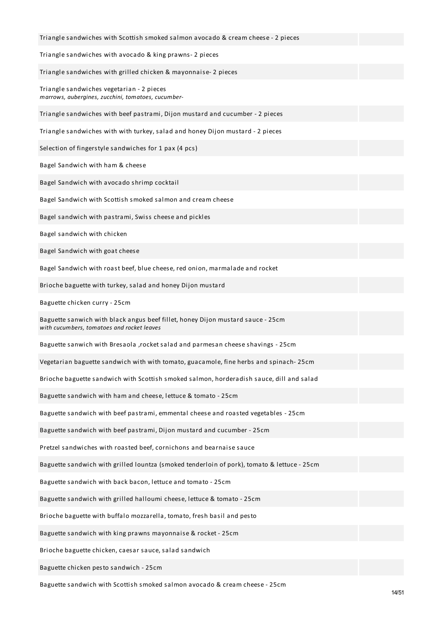| Triangle sandwiches with Scottish smoked salmon avocado & cream cheese - 2 pieces                                             |  |
|-------------------------------------------------------------------------------------------------------------------------------|--|
| Triangle sandwiches with avocado & king prawns-2 pieces                                                                       |  |
| Triangle sandwiches with grilled chicken & mayonnaise- 2 pieces                                                               |  |
| Triangle sandwiches vegetarian - 2 pieces<br>marrows, aubergines, zucchini, tomatoes, cucumber-                               |  |
| Triangle sandwiches with beef pastrami, Dijon mustard and cucumber - 2 pieces                                                 |  |
| Triangle sandwiches with with turkey, salad and honey Dijon mustard - 2 pieces                                                |  |
| Selection of fingerstyle sandwiches for 1 pax (4 pcs)                                                                         |  |
| Bagel Sandwich with ham & cheese                                                                                              |  |
| Bagel Sandwich with avocado shrimp cocktail                                                                                   |  |
| Bagel Sandwich with Scottish smoked salmon and cream cheese                                                                   |  |
| Bagel sandwich with pastrami, Swiss cheese and pickles                                                                        |  |
| Bagel sandwich with chicken                                                                                                   |  |
| Bagel Sandwich with goat cheese                                                                                               |  |
| Bagel Sandwich with roast beef, blue cheese, red onion, marmalade and rocket                                                  |  |
| Brioche baguette with turkey, salad and honey Dijon mustard                                                                   |  |
| Baguette chicken curry - 25cm                                                                                                 |  |
| Baguette sanwich with black angus beef fillet, honey Dijon mustard sauce - 25cm<br>with cucumbers, tomatoes and rocket leaves |  |
| Baguette sanwich with Bresaola , rocket salad and parmesan cheese shavings - 25cm                                             |  |
| Vegetarian baguette sandwich with with tomato, guacamole, fine herbs and spinach-25cm                                         |  |
| Brioche baguette sandwich with Scottish smoked salmon, horderadish sauce, dill and salad                                      |  |
| Baguette sandwich with ham and cheese, lettuce & tomato - 25cm                                                                |  |
| Baguette sandwich with beef pastrami, emmental cheese and roasted vegetables - 25cm                                           |  |
| Baguette sandwich with beef pastrami, Dijon mustard and cucumber - 25cm                                                       |  |
| Pretzel sandwiches with roasted beef, cornichons and bearnaise sauce                                                          |  |
| Baguette sandwich with grilled lountza (smoked tenderloin of pork), tomato & lettuce - 25cm                                   |  |
| Baguette sandwich with back bacon, lettuce and tomato - 25cm                                                                  |  |
| Baguette sandwich with grilled halloumi cheese, lettuce & tomato - 25cm                                                       |  |
| Brioche baguette with buffalo mozzarella, tomato, fresh basil and pesto                                                       |  |
| Baguette sandwich with king prawns mayonnaise & rocket - 25cm                                                                 |  |
| Brioche baguette chicken, caesar sauce, salad sandwich                                                                        |  |
| Baguette chicken pesto sandwich - 25cm                                                                                        |  |

Baguette sandwich with Scottish smoked salmon avocado & cream cheese - 25cm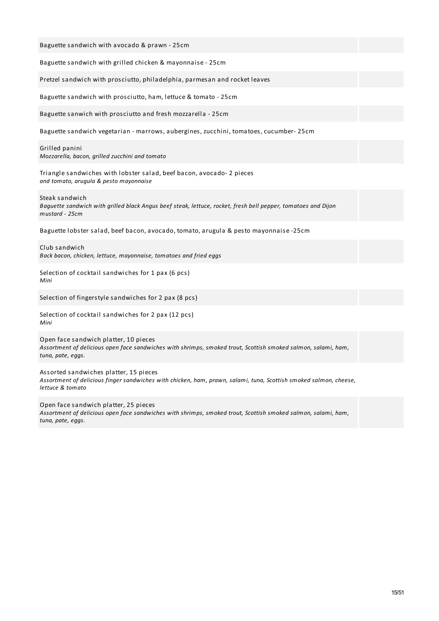| Baguette sandwich with avocado & prawn - 25cm                                                                                                                                   |
|---------------------------------------------------------------------------------------------------------------------------------------------------------------------------------|
| Baguette sandwich with grilled chicken & mayonnaise - 25cm                                                                                                                      |
| Pretzel sandwich with prosciutto, philadelphia, parmesan and rocket leaves                                                                                                      |
| Baguette sandwich with prosciutto, ham, lettuce & tomato - 25cm                                                                                                                 |
| Baguette sanwich with prosciutto and fresh mozzarella - 25cm                                                                                                                    |
| Baguette sandwich vegetarian - marrows, aubergines, zucchini, tomatoes, cucumber-25cm                                                                                           |
| Grilled panini<br>Mozzarella, bacon, grilled zucchini and tomato                                                                                                                |
| Triangle sandwiches with lobster salad, beef bacon, avocado-2 pieces<br>and tomato, arugula & pesto mayonnaise                                                                  |
| Steak sandwich<br>Baguette sandwich with grilled black Angus beef steak, lettuce, rocket, fresh bell pepper, tomatoes and Dijon<br>mustard - 25cm                               |
| Baguette lobster salad, beef bacon, avocado, tomato, arugula & pesto mayonnaise -25cm                                                                                           |
| Club sandwich<br>Back bacon, chicken, lettuce, mayonnaise, tomatoes and fried eggs                                                                                              |
| Selection of cocktail sandwiches for 1 pax (6 pcs)<br>Mini                                                                                                                      |
| Selection of fingerstyle sandwiches for 2 pax (8 pcs)                                                                                                                           |
| Selection of cocktail sandwiches for 2 pax (12 pcs)<br>Mini                                                                                                                     |
| Open face sandwich platter, 10 pieces<br>Assortment of delicious open face sandwiches with shrimps, smoked trout, Scottish smoked salmon, salami, ham,<br>tuna, pate, eggs.     |
| Assorted sandwiches platter, 15 pieces<br>Assortment of delicious finger sandwiches with chicken, ham, prawn, salami, tuna, Scottish smoked salmon, cheese,<br>lettuce & tomato |
| Open face sandwich platter, 25 pieces<br>Assortment of delicious open face sandwiches with shrimps, smoked trout, Scottish smoked salmon, salami, ham,<br>tuna, pate, eggs.     |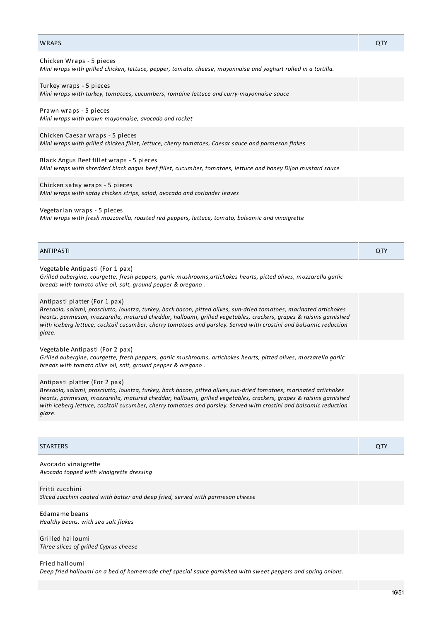| Mini wraps with turkey, tomatoes, cucumbers, romaine lettuce and curry-mayonnaise sauce                                                                                                                                                                                                                                                                                                                 |     |
|---------------------------------------------------------------------------------------------------------------------------------------------------------------------------------------------------------------------------------------------------------------------------------------------------------------------------------------------------------------------------------------------------------|-----|
| Prawn wraps - 5 pieces<br>Mini wraps with prawn mayonnaise, avocado and rocket                                                                                                                                                                                                                                                                                                                          |     |
| Chicken Caesar wraps - 5 pieces<br>Mini wraps with grilled chicken fillet, lettuce, cherry tomatoes, Caesar sauce and parmesan flakes                                                                                                                                                                                                                                                                   |     |
| Black Angus Beef fillet wraps - 5 pieces<br>Mini wraps with shredded black angus beef fillet, cucumber, tomatoes, lettuce and honey Dijon mustard sauce                                                                                                                                                                                                                                                 |     |
| Chicken satay wraps - 5 pieces<br>Mini wraps with satay chicken strips, salad, avocado and coriander leaves                                                                                                                                                                                                                                                                                             |     |
| Vegetarian wraps - 5 pieces<br>Mini wraps with fresh mozzarella, roasted red peppers, lettuce, tomato, balsamic and vinaigrette                                                                                                                                                                                                                                                                         |     |
| <b>ANTIPASTI</b>                                                                                                                                                                                                                                                                                                                                                                                        | QTY |
| Vegetable Antipasti (For 1 pax)<br>Grilled aubergine, courgette, fresh peppers, garlic mushrooms, artichokes hearts, pitted olives, mozzarella garlic<br>breads with tomato olive oil, salt, ground pepper & oregano.                                                                                                                                                                                   |     |
| Antipasti platter (For 1 pax)<br>Bresaola, salami, prosciutto, lountza, turkey, back bacon, pitted olives, sun-dried tomatoes, marinated artichokes<br>hearts, parmesan, mozzarella, matured cheddar, halloumi, grilled vegetables, crackers, grapes & raisins garnished<br>with iceberg lettuce, cocktail cucumber, cherry tomatoes and parsley. Served with crostini and balsamic reduction<br>glaze. |     |
| Vegetable Antipasti (For 2 pax)<br>Grilled aubergine, courgette, fresh peppers, garlic mushrooms, artichokes hearts, pitted olives, mozzarella garlic<br>breads with tomato olive oil, salt, ground pepper & oregano.                                                                                                                                                                                   |     |
| Antipasti platter (For 2 pax)<br>Bresaola, salami, prosciutto, lountza, turkey, back bacon, pitted olives, sun-dried tomatoes, marinated artichokes<br>hearts, parmesan, mozzarella, matured cheddar, halloumi, grilled vegetables, crackers, grapes & raisins garnished<br>with iceberg lettuce, cocktail cucumber, cherry tomatoes and parsley. Served with crostini and balsamic reduction<br>glaze. |     |
|                                                                                                                                                                                                                                                                                                                                                                                                         |     |
| <b>STARTERS</b>                                                                                                                                                                                                                                                                                                                                                                                         | QTY |
| Avocado vinaigrette<br>Avocado topped with vinaigrette dressing                                                                                                                                                                                                                                                                                                                                         |     |
| Fritti zucchini<br>Sliced zucchini coated with batter and deep fried, served with parmesan cheese                                                                                                                                                                                                                                                                                                       |     |

WRAPS QTY

*Mini wraps with grilled chicken, lettuce, pepper, tomato, cheese, mayonnaise and yoghurt rolled in a tortilla.*

Edamame beans *Healthy beans, with sea salt flakes*

Chicken Wraps - 5 pieces

Turkey wraps - 5 pieces

Grilled halloumi *Three slices of grilled Cyprus cheese*

Fried halloumi Deep fried halloumi on a bed of homemade chef special sauce garnished with sweet peppers and spring onions.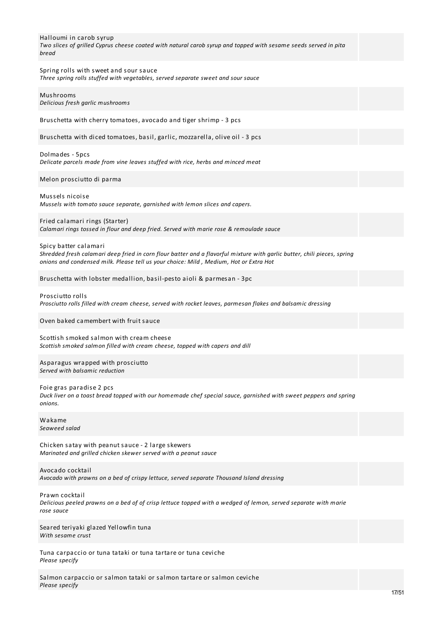| Halloumi in carob syrup<br>Two slices of grilled Cyprus cheese coated with natural carob syrup and topped with sesame seeds served in pita<br>bread                                                                                        |  |
|--------------------------------------------------------------------------------------------------------------------------------------------------------------------------------------------------------------------------------------------|--|
| Spring rolls with sweet and sour sauce<br>Three spring rolls stuffed with vegetables, served separate sweet and sour sauce                                                                                                                 |  |
| Mushrooms<br>Delicious fresh garlic mushrooms                                                                                                                                                                                              |  |
| Bruschetta with cherry tomatoes, avocado and tiger shrimp - 3 pcs                                                                                                                                                                          |  |
| Bruschetta with diced tomatoes, basil, garlic, mozzarella, olive oil - 3 pcs                                                                                                                                                               |  |
| Dolmades - 5pcs<br>Delicate parcels made from vine leaves stuffed with rice, herbs and minced meat                                                                                                                                         |  |
| Melon prosciutto di parma                                                                                                                                                                                                                  |  |
| Mussels nicoise<br>Mussels with tomato sauce separate, garnished with lemon slices and capers.                                                                                                                                             |  |
| Fried calamari rings (Starter)<br>Calamari rings tossed in flour and deep fried. Served with marie rose & remoulade sauce                                                                                                                  |  |
| Spicy batter calamari<br>Shredded fresh calamari deep fried in corn flour batter and a flavorful mixture with garlic butter, chili pieces, spring<br>onions and condensed milk. Please tell us your choice: Mild, Medium, Hot or Extra Hot |  |
| Bruschetta with lobster medallion, basil-pesto aioli & parmesan - 3pc                                                                                                                                                                      |  |
| Prosciutto rolls<br>Prosciutto rolls filled with cream cheese, served with rocket leaves, parmesan flakes and balsamic dressing                                                                                                            |  |
| Oven baked camembert with fruit sauce                                                                                                                                                                                                      |  |
| Scottish smoked salmon with cream cheese<br>Scottish smoked salmon filled with cream cheese, topped with capers and dill                                                                                                                   |  |
| Asparagus wrapped with prosciutto<br>Served with balsamic reduction                                                                                                                                                                        |  |
| Foie gras paradise 2 pcs<br>Duck liver on a toast bread topped with our homemade chef special sauce, garnished with sweet peppers and spring<br>onions.                                                                                    |  |
| Wakame<br>Seaweed salad                                                                                                                                                                                                                    |  |
| Chicken satay with peanut sauce - 2 large skewers<br>Marinated and grilled chicken skewer served with a peanut sauce                                                                                                                       |  |
| Avocado cocktail<br>Avocado with prawns on a bed of crispy lettuce, served separate Thousand Island dressing                                                                                                                               |  |
| Prawn cocktail<br>Delicious peeled prawns on a bed of of crisp lettuce topped with a wedged of lemon, served separate with marie<br>rose sauce                                                                                             |  |
| Seared teriyaki glazed Yellowfin tuna<br>With sesame crust                                                                                                                                                                                 |  |
|                                                                                                                                                                                                                                            |  |

Tuna carpaccio or tuna tataki or tuna tartare or tuna ceviche *Please specify*

Salmon carpaccio or salmon tataki or salmon tartare or salmon ceviche *Please specify*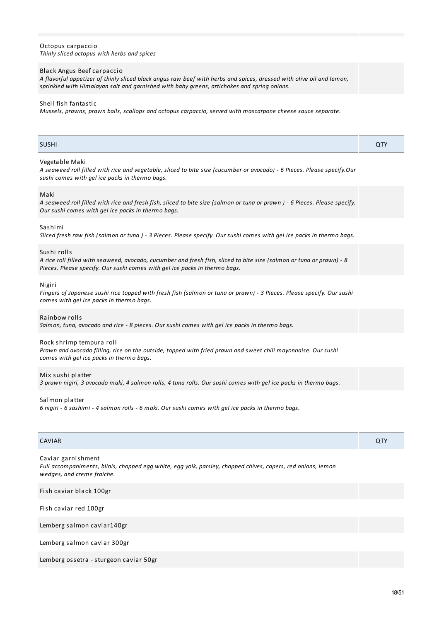| sprinkled with Himalayan salt and garnished with baby greens, artichokes and spring onions.                                                                                                                       |     |
|-------------------------------------------------------------------------------------------------------------------------------------------------------------------------------------------------------------------|-----|
| Shell fish fantastic<br>Mussels, prawns, prawn balls, scallops and octopus carpaccio, served with mascarpone cheese sauce separate.                                                                               |     |
| <b>SUSHI</b>                                                                                                                                                                                                      | QTY |
| Vegetable Maki<br>A seaweed roll filled with rice and vegetable, sliced to bite size (cucumber or avocado) - 6 Pieces. Please specify.Our<br>sushi comes with gel ice packs in thermo bags.                       |     |
| Maki<br>A seaweed roll filled with rice and fresh fish, sliced to bite size (salmon or tuna or prawn) - 6 Pieces. Please specify.<br>Our sushi comes with gel ice packs in thermo bags.                           |     |
| Sashimi<br>Sliced fresh raw fish (salmon or tuna) - 3 Pieces. Please specify. Our sushi comes with gel ice packs in thermo bags.                                                                                  |     |
| Sushi rolls<br>A rice roll filled with seaweed, avocado, cucumber and fresh fish, sliced to bite size (salmon or tuna or prawn) - 8<br>Pieces. Please specify. Our sushi comes with gel ice packs in thermo bags. |     |
| Nigiri<br>Fingers of Japanese sushi rice topped with fresh fish (salmon or tuna or prawn) - 3 Pieces. Please specify. Our sushi<br>comes with gel ice packs in thermo bags.                                       |     |
| Rainbow rolls<br>Salmon, tuna, avocado and rice - 8 pieces. Our sushi comes with gel ice packs in thermo bags.                                                                                                    |     |
| Rock shrimp tempura roll<br>Prawn and avocado filling, rice on the outside, topped with fried prawn and sweet chili mayonnaise. Our sushi<br>comes with gel ice packs in thermo bags.                             |     |
| Mix sushi platter<br>3 prawn nigiri, 3 avocado maki, 4 salmon rolls, 4 tuna rolls. Our sushi comes with gel ice packs in thermo bags.                                                                             |     |
| Salmon platter<br>6 nigiri - 6 sashimi - 4 salmon rolls - 6 maki. Our sushi comes with gel ice packs in thermo bags.                                                                                              |     |
| <b>CAVIAR</b>                                                                                                                                                                                                     | QTY |
| Caviar garnishment<br>Full accompaniments, blinis, chopped egg white, egg yolk, parsley, chopped chives, capers, red onions, lemon<br>wedges, and creme fraiche.                                                  |     |
| Fish caviar black 100gr                                                                                                                                                                                           |     |
| Fish caviar red 100gr                                                                                                                                                                                             |     |
| Lemberg salmon caviar140gr                                                                                                                                                                                        |     |
| Lemberg salmon caviar 300gr                                                                                                                                                                                       |     |

A flavorful appetizer of thinly sliced black angus raw beef with herbs and spices, dressed with olive oil and lemon,

Lemberg ossetra - sturgeon caviar 50gr

Octopus carpaccio

Black Angus Beef carpaccio

*Thinly sliced octopus with herbs and spices*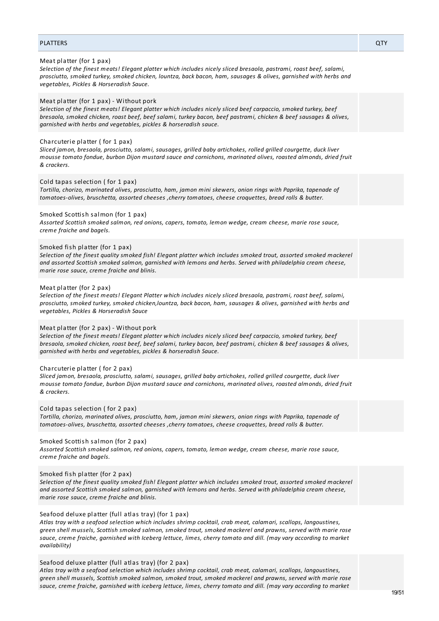# PLATTERS QTY

#### Meat platter (for 1 pax)

Selection of the finest meats! Elegant platter which includes nicely sliced bresaola, pastrami, roast beef, salami, *prosciutto, smoked turkey, smoked chicken, lountza, back bacon, ham, sausages & olives, garnished with herbs and vegetables, Pickles & Horseradish Sauce.*

# Meat platter (for 1 pax) - Without pork

*Selection of the finest meats! Elegant platter which includes nicely sliced beef carpaccio, smoked turkey, beef* bresaola, smoked chicken, roast beef, beef salami, turkey bacon, beef pastrami, chicken & beef sausages & olives, *garnished with herbs and vegetables, pickles & horseradish sauce.*

#### Charcuterie platter ( for 1 pax)

*Sliced jamon, bresaola, prosciutto, salami, sausages, grilled baby artichokes, rolled grilled courgette, duck liver mousse tomato fondue, burbon Dijon mustard sauce and cornichons, marinated olives, roasted almonds, dried fruit & crackers.*

# Cold tapas selection ( for 1 pax)

*Tortilla, chorizo, marinated olives, prosciutto, ham, jamon mini skewers, onion rings with Paprika, tapenade of tomatoes-olives, bruschetta, assorted cheeses ,cherry tomatoes, cheese croquettes, bread rolls & butter.*

#### Smoked Scottish salmon (for 1 pax)

*Assorted Scottish smoked salmon, red onions, capers, tomato, lemon wedge, cream cheese, marie rose sauce, creme fraiche and bagels.*

#### Smoked fish platter (for 1 pax)

Selection of the finest quality smoked fish! Elegant platter which includes smoked trout, assorted smoked mackerel *and assorted Scottish smoked salmon, garnished with lemons and herbs. Served with philadelphia cream cheese, marie rose sauce, creme fraiche and blinis.*

# Meat platter (for 2 pax)

Selection of the finest meats! Elegant Platter which includes nicely sliced bresaola, pastrami, roast beef, salami, *prosciutto, smoked turkey, smoked chicken,lountza, back bacon, ham, sausages & olives, garnished with herbs and vegetables, Pickles & Horseradish Sauce*

#### Meat platter (for 2 pax) - Without pork

*Selection of the finest meats! Elegant platter which includes nicely sliced beef carpaccio, smoked turkey, beef* bresaola, smoked chicken, roast beef, beef salami, turkey bacon, beef pastrami, chicken & beef sausages & olives, *garnished with herbs and vegetables, pickles & horseradish Sauce.*

#### Charcuterie platter ( for 2 pax)

*Sliced jamon, bresaola, prosciutto, salami, sausages, grilled baby artichokes, rolled grilled courgette, duck liver mousse tomato fondue, burbon Dijon mustard sauce and cornichons, marinated olives, roasted almonds, dried fruit & crackers.*

# Cold tapas selection ( for 2 pax)

*Tortilla, chorizo, marinated olives, prosciutto, ham, jamon mini skewers, onion rings with Paprika, tapenade of tomatoes-olives, bruschetta, assorted cheeses ,cherry tomatoes, cheese croquettes, bread rolls & butter.*

# Smoked Scottish salmon (for 2 pax)

*Assorted Scottish smoked salmon, red onions, capers, tomato, lemon wedge, cream cheese, marie rose sauce, creme fraiche and bagels.*

#### Smoked fish platter (for 2 pax)

Selection of the finest quality smoked fish! Elegant platter which includes smoked trout, assorted smoked mackerel *and assorted Scottish smoked salmon, garnished with lemons and herbs. Served with philadelphia cream cheese, marie rose sauce, creme fraiche and blinis.*

#### Seafood deluxe platter (full atlas tray) (for 1 pax)

*Atlas tray with a seafood selection which includes shrimp cocktail, crab meat, calamari, scallops, langoustines, green shell mussels, Scottish smoked salmon, smoked trout, smoked mackerel and prawns, served with marie rose* sauce, creme fraiche, garnished with Iceberg lettuce, limes, cherry tomato and dill. (may vary according to market *availability)*

### Seafood deluxe platter (full atlas tray) (for 2 pax)

*Atlas tray with a seafood selection which includes shrimp cocktail, crab meat, calamari, scallops, langoustines, green shell mussels, Scottish smoked salmon, smoked trout, smoked mackerel and prawns, served with marie rose* sauce, creme fraiche, garnished with iceberg lettuce, limes, cherry tomato and dill. (may vary according to market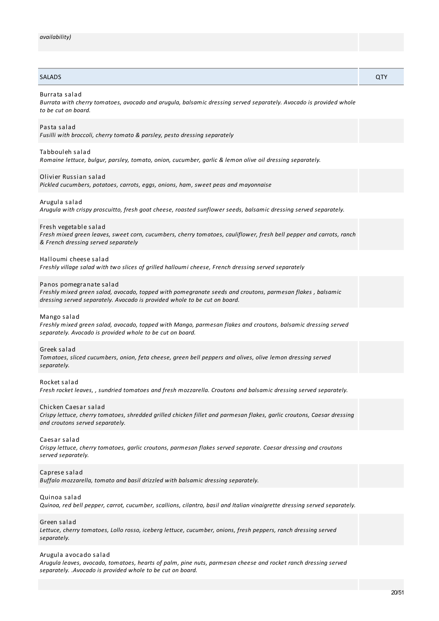# SALADS QTY

### Burrata salad

*Burrata with cherry tomatoes, avocado and arugula, balsamic dressing served separately. Avocado is provided whole to be cut on board.*

# Pasta salad

*Fusilli with broccoli, cherry tomato & parsley, pesto dressing separately*

#### Tabbouleh salad

*Romaine lettuce, bulgur, parsley, tomato, onion, cucumber, garlic & lemon olive oil dressing separately.*

#### Olivier Russian salad

*Pickled cucumbers, potatoes, carrots, eggs, onions, ham, sweet peas and mayonnaise*

#### Arugula salad

*Arugula with crispy proscuitto, fresh goat cheese, roasted sunflower seeds, balsamic dressing served separately.*

# Fresh vegetable salad

Fresh mixed green leaves, sweet corn, cucumbers, cherry tomatoes, cauliflower, fresh bell pepper and carrots, ranch *& French dressing served separately*

#### Halloumi cheese salad

*Freshly village salad with two slices of grilled halloumi cheese, French dressing served separately*

#### Panos pomegranate salad

*Freshly mixed green salad, avocado, topped with pomegranate seeds and croutons, parmesan flakes , balsamic dressing served separately. Avocado is provided whole to be cut on board.*

#### Mango salad

*Freshly mixed green salad, avocado, topped with Mango, parmesan flakes and croutons, balsamic dressing served separately. Avocado is provided whole to be cut on board.*

#### Greek salad

*Tomatoes, sliced cucumbers, onion, feta cheese, green bell peppers and olives, olive lemon dressing served separately.*

#### Rocket salad

*Fresh rocket leaves, , sundried tomatoes and fresh mozzarella. Croutons and balsamic dressing served separately.*

#### Chicken Caesar salad

*Crispy lettuce, cherry tomatoes, shredded grilled chicken fillet and parmesan flakes, garlic croutons, Caesar dressing and croutons served separately.*

# Caesar salad

*Crispy lettuce, cherry tomatoes, garlic croutons, parmesan flakes served separate. Caesar dressing and croutons served separately.*

# Caprese salad

*Buffalo mozzarella, tomato and basil drizzled with balsamic dressing separately.*

#### Quinoa salad

Quinoa, red bell pepper, carrot, cucumber, scallions, cilantro, basil and Italian vinaiarette dressina served separately.

# Green salad

*Lettuce, cherry tomatoes, Lollo rosso, iceberg lettuce, cucumber, onions, fresh peppers, ranch dressing served separately.*

# Arugula avocado salad

*Arugula leaves, avocado, tomatoes, hearts of palm, pine nuts, parmesan cheese and rocket ranch dressing served separately. .Avocado is provided whole to be cut on board.*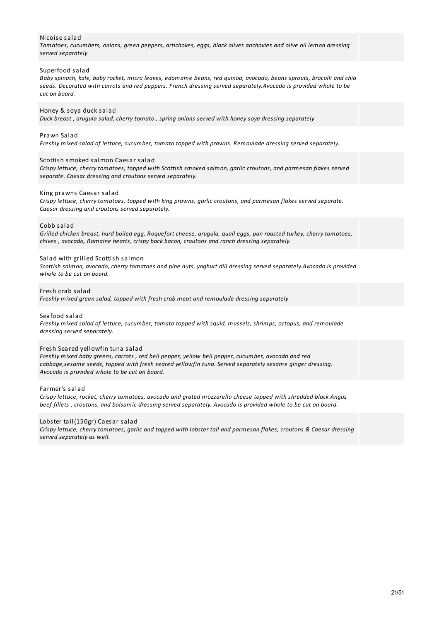# Nicoise salad

*Tomatoes, cucumbers, onions, green peppers, artichokes, eggs, black olives anchovies and olive oil lemon dressing served separately*

# Superfood salad

Baby spinach, kale, baby rocket, micro leaves, edamame beans, red quinoa, avocado, beans sprouts, brocolli and chia *seeds. Decorated with carrots and red peppers. French dressing served separately.Avocado is provided whole to be cut on board.*

# Honey & soya duck salad

*Duck breast , arugula salad, cherry tomato , spring onions served with honey soya dressing separately*

# Prawn Salad

*Freshly mixed salad of lettuce, cucumber, tomato topped with prawns. Remoulade dressing served separately.*

#### Scottish smoked salmon Caesar salad

*Crispy lettuce, cherry tomatoes, topped with Scottish smoked salmon, garlic croutons, and parmesan flakes served separate. Caesar dressing and croutons served separately.*

#### King prawns Caesar salad

*Crispy lettuce, cherry tomatoes, topped with king prawns, garlic croutons, and parmesan flakes served separate. Caesar dressing and croutons served separately.*

# Cobb salad

Grilled chicken breast, hard boiled egg, Roquefort cheese, arugula, quail eggs, pan roasted turkey, cherry tomatoes, *chives , avocado, Romaine hearts, crispy back bacon, croutons and ranch dressing separately.*

# Salad with grilled Scottish salmon

*Scottish salmon, avocado, cherry tomatoes and pine nuts, yoghurt dill dressing served separately.Avocado is provided whole to be cut on board.*

# Fresh crab salad

*Freshly mixed green salad, topped with fresh crab meat and remoulade dressing separately*

Seafood salad *Freshly mixed salad of lettuce, cucumber, tomato topped with squid, mussels, shrimps, octopus, and remoulade dressing served separately.*

# Fresh Seared yellowfin tuna salad

*Freshly mixed baby greens, carrots , red bell pepper, yellow bell pepper, cucumber, avocado and red cabbage,sesame seeds, topped with fresh seared yellowfin tuna. Served separately sesame ginger dressing. Avocado is provided whole to be cut on board.*

#### Farmer's salad

*Crispy lettuce, rocket, cherry tomatoes, avocado and grated mozzarella cheese topped with shredded black Angus* beef fillets, croutons, and balsamic dressing served separately. Avocado is provided whole to be cut on board.

# Lobster tail(150gr) Caesar salad

Crispy lettuce, cherry tomatoes, garlic and topped with lobster tail and parmesan flakes, croutons & Caesar dressing *served separately as well.*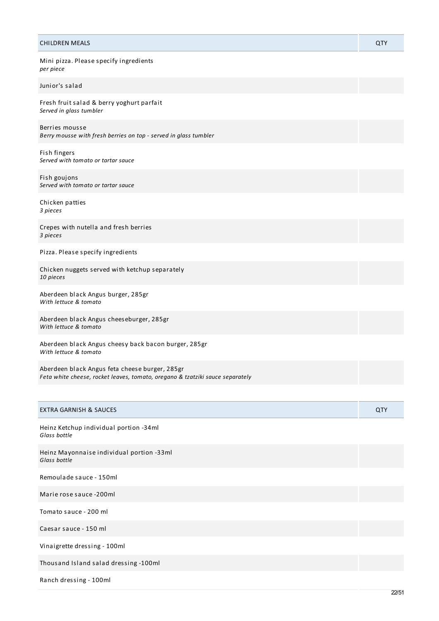| <b>CHILDREN MEALS</b>                                                                                                           | QTY |
|---------------------------------------------------------------------------------------------------------------------------------|-----|
| Mini pizza. Please specify ingredients<br>per piece                                                                             |     |
| Junior's salad                                                                                                                  |     |
| Fresh fruit salad & berry yoghurt parfait<br>Served in glass tumbler                                                            |     |
| Berries mousse<br>Berry mousse with fresh berries on top - served in glass tumbler                                              |     |
| Fish fingers<br>Served with tomato or tartar sauce                                                                              |     |
| Fish goujons<br>Served with tomato or tartar sauce                                                                              |     |
| Chicken patties<br>3 pieces                                                                                                     |     |
| Crepes with nutella and fresh berries<br>3 pieces                                                                               |     |
| Pizza. Please specify ingredients                                                                                               |     |
| Chicken nuggets served with ketchup separately<br>10 pieces                                                                     |     |
| Aberdeen black Angus burger, 285gr<br>With lettuce & tomato                                                                     |     |
| Aberdeen black Angus cheeseburger, 285gr<br>With lettuce & tomato                                                               |     |
| Aberdeen black Angus cheesy back bacon burger, 285gr<br>With lettuce & tomato                                                   |     |
| Aberdeen black Angus feta cheese burger, 285gr<br>Feta white cheese, rocket leaves, tomato, oregano & tzatziki sauce separately |     |
|                                                                                                                                 |     |
| <b>EXTRA GARNISH &amp; SAUCES</b>                                                                                               | QTY |

Heinz Ketchup individual portion -34ml *Glass bottle*

Heinz Mayonnaise individual portion -33ml *Glass bottle*

Remoulade sauce - 150ml

Marie rose sauce -200ml

Tomato sauce - 200 ml

Caesar sauce - 150 ml

Vinaigrette dressing - 100ml

Thousand Island salad dressing -100ml

Ranch dressing - 100ml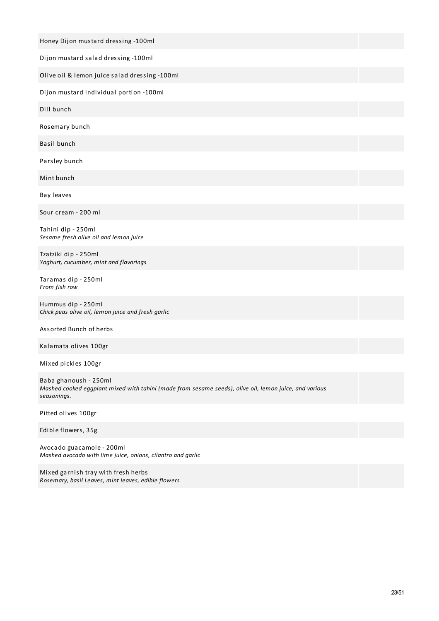| Honey Dijon mustard dressing -100ml                                                                                                            |
|------------------------------------------------------------------------------------------------------------------------------------------------|
| Dijon mustard salad dressing -100ml                                                                                                            |
| Olive oil & lemon juice salad dressing -100ml                                                                                                  |
| Dijon mustard individual portion -100ml                                                                                                        |
| Dill bunch                                                                                                                                     |
| Rosemary bunch                                                                                                                                 |
| Basil bunch                                                                                                                                    |
| Parsley bunch                                                                                                                                  |
| Mint bunch                                                                                                                                     |
| Bay leaves                                                                                                                                     |
| Sour cream - 200 ml                                                                                                                            |
| Tahini dip - 250ml<br>Sesame fresh olive oil and lemon juice                                                                                   |
| Tzatziki dip - 250ml<br>Yoghurt, cucumber, mint and flavorings                                                                                 |
| Taramas dip - 250ml<br>From fish row                                                                                                           |
| Hummus dip - 250ml<br>Chick peas olive oil, lemon juice and fresh garlic                                                                       |
| Assorted Bunch of herbs                                                                                                                        |
| Kalamata olives 100gr                                                                                                                          |
| Mixed pickles 100gr                                                                                                                            |
| Baba ghanoush - 250ml<br>Mashed cooked eggplant mixed with tahini (made from sesame seeds), olive oil, lemon juice, and various<br>seasonings. |
| Pitted olives 100gr                                                                                                                            |
| Edible flowers, 35g                                                                                                                            |
| Avocado guacamole - 200ml<br>Mashed avocado with lime juice, onions, cilantro and garlic                                                       |
|                                                                                                                                                |

Mixed garnish tray with fresh herbs *Rosemary, basil Leaves, mint leaves, edible flowers*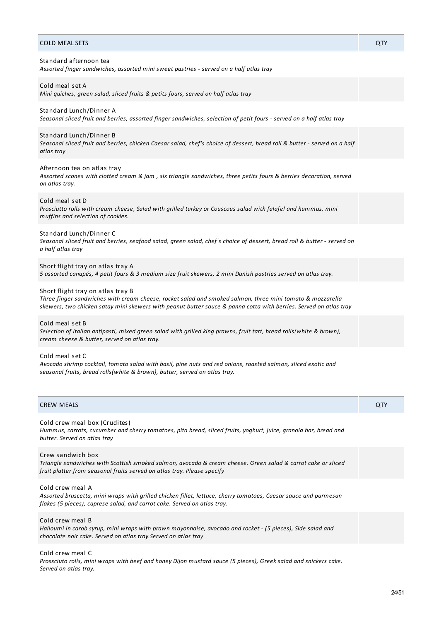| <b>COLD MEAL SETS</b>                                                                                                                                                                                                                                               | QTY |
|---------------------------------------------------------------------------------------------------------------------------------------------------------------------------------------------------------------------------------------------------------------------|-----|
| Standard afternoon tea<br>Assorted finger sandwiches, assorted mini sweet pastries - served on a half atlas tray                                                                                                                                                    |     |
| Cold meal set A<br>Mini quiches, green salad, sliced fruits & petits fours, served on half atlas tray                                                                                                                                                               |     |
| Standard Lunch/Dinner A<br>Seasonal sliced fruit and berries, assorted finger sandwiches, selection of petit fours - served on a half atlas tray                                                                                                                    |     |
| Standard Lunch/Dinner B<br>Seasonal sliced fruit and berries, chicken Caesar salad, chef's choice of dessert, bread roll & butter - served on a half<br>atlas tray                                                                                                  |     |
| Afternoon tea on atlas tray<br>Assorted scones with clotted cream & jam, six triangle sandwiches, three petits fours & berries decoration, served<br>on atlas tray.                                                                                                 |     |
| Cold meal set D<br>Prosciutto rolls with cream cheese, Salad with grilled turkey or Couscous salad with falafel and hummus, mini<br>muffins and selection of cookies.                                                                                               |     |
| Standard Lunch/Dinner C<br>Seasonal sliced fruit and berries, seafood salad, green salad, chef's choice of dessert, bread roll & butter - served on<br>a half atlas tray                                                                                            |     |
| Short flight tray on atlas tray A<br>5 assorted canapés, 4 petit fours & 3 medium size fruit skewers, 2 mini Danish pastries served on atlas tray.                                                                                                                  |     |
| Short flight tray on atlas tray B<br>Three finger sandwiches with cream cheese, rocket salad and smoked salmon, three mini tomato & mozzarella<br>skewers, two chicken satay mini skewers with peanut butter sauce & panna cotta with berries. Served on atlas tray |     |
| Cold meal set B<br>Selection of italian antipasti, mixed green salad with grilled king prawns, fruit tart, bread rolls(white & brown),<br>cream cheese & butter, served on atlas tray.                                                                              |     |
| Cold meal set C<br>Avocado shrimp cocktail, tomato salad with basil, pine nuts and red onions, roasted salmon, sliced exotic and<br>seasonal fruits, bread rolls(white & brown), butter, served on atlas tray.                                                      |     |
| <b>CREW MEALS</b>                                                                                                                                                                                                                                                   | QTY |
| Cold crew meal box (Crudites)<br>Hummus, carrots, cucumber and cherry tomatoes, pita bread, sliced fruits, yoghurt, juice, granola bar, bread and<br>butter. Served on atlas tray                                                                                   |     |

# Crew sandwich box

Triangle sandwiches with Scottish smoked salmon, avocado & cream cheese. Green salad & carrot cake or sliced *fruit platter from seasonal fruits served on atlas tray. Please specify*

Cold crew meal A *Assorted bruscetta, mini wraps with grilled chicken fillet, lettuce, cherry tomatoes, Caesar sauce and parmesan flakes (5 pieces), caprese salad, and carrot cake. Served on atlas tray.*

Cold crew meal B

Halloumi in carob syrup, mini wraps with prawn mayonnaise, avocado and rocket - (5 pieces), Side salad and *chocolate noir cake. Served on atlas tray.Served on atlas tray*

Cold crew meal C

Prossciuto rolls, mini wraps with beef and honey Dijon mustard sauce (5 pieces), Greek salad and snickers cake. *Served on atlas tray.*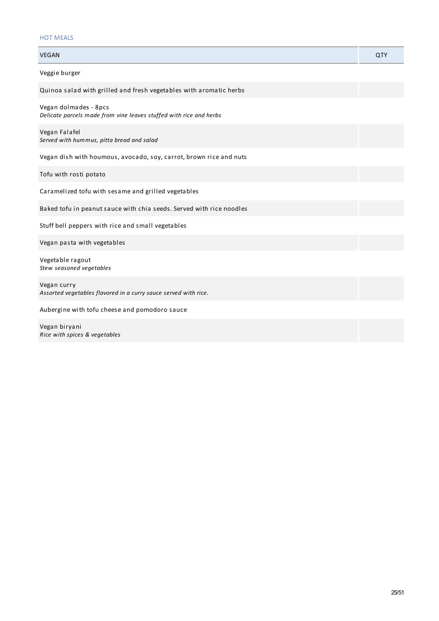# HOT MEALS

| <b>VEGAN</b>                                                                                | QTY |
|---------------------------------------------------------------------------------------------|-----|
| Veggie burger                                                                               |     |
| Quinoa salad with grilled and fresh vegetables with aromatic herbs                          |     |
| Vegan dolmades - 8pcs<br>Delicate parcels made from vine leaves stuffed with rice and herbs |     |
| Vegan Falafel<br>Served with hummus, pitta bread and salad                                  |     |
| Vegan dish with houmous, avocado, soy, carrot, brown rice and nuts                          |     |
| Tofu with rosti potato                                                                      |     |
| Caramelized tofu with sesame and grilled vegetables                                         |     |
| Baked tofu in peanut sauce with chia seeds. Served with rice noodles                        |     |
| Stuff bell peppers with rice and small vegetables                                           |     |
| Vegan pasta with vegetables                                                                 |     |
| Vegetable ragout<br>Stew seasoned vegetables                                                |     |
| Vegan curry<br>Assorted vegetables flavored in a curry sauce served with rice.              |     |
| Aubergine with tofu cheese and pomodoro sauce                                               |     |
| Vegan biryani<br>Rice with spices & vegetables                                              |     |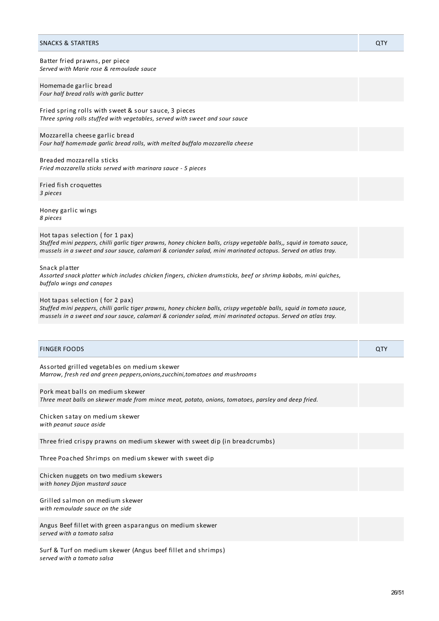#### SNACKS & STARTERS QTY

Batter fried prawns, per piece *Served with Marie rose & remoulade sauce*

Homemade garlic bread *Four half bread rolls with garlic butter*

Fried spring rolls with sweet & sour sauce, 3 pieces *Three spring rolls stuffed with vegetables, served with sweet and sour sauce*

Mozzarella cheese garlic bread *Four half homemade garlic bread rolls, with melted buffalo mozzarella cheese*

Breaded mozzarella sticks *Fried mozzarella sticks served with marinara sauce - 5 pieces*

Fried fish croquettes *3 pieces*

Honey garlic wings *8 pieces*

Hot tapas selection ( for 1 pax) Stuffed mini peppers, chilli garlic tiger prawns, honey chicken balls, crispy vegetable balls,, squid in tomato sauce, mussels in a sweet and sour sauce, calamari & coriander salad, mini marinated octopus. Served on atlas tray.

Snack platter

*Assorted snack platter which includes chicken fingers, chicken drumsticks, beef or shrimp kabobs, mini quiches, buffalo wings and canapes*

Hot tapas selection ( for 2 pax)

Stuffed mini peppers, chilli garlic tiger prawns, honey chicken balls, crispy vegetable balls, squid in tomato sauce, mussels in a sweet and sour sauce, calamari & coriander salad, mini marinated octopus. Served on atlas tray.

| <b>FINGER FOODS</b>                                                                                                                    | QTY |
|----------------------------------------------------------------------------------------------------------------------------------------|-----|
| Assorted grilled vegetables on medium skewer<br>Marrow, fresh red and green peppers, onions, zucchini, tomatoes and mushrooms          |     |
| Pork meat balls on medium skewer<br>Three meat balls on skewer made from mince meat, potato, onions, tomatoes, parsley and deep fried. |     |
| Chicken satay on medium skewer<br>with peanut sauce aside                                                                              |     |
| Three fried crispy prawns on medium skewer with sweet dip (in breadcrumbs)                                                             |     |
| Three Poached Shrimps on medium skewer with sweet dip                                                                                  |     |
| Chicken nuggets on two medium skewers<br>with honey Dijon mustard sauce                                                                |     |
| Grilled salmon on medium skewer<br>with remoulade sauce on the side                                                                    |     |
| Angus Beef fillet with green asparangus on medium skewer<br>served with a tomato salsa                                                 |     |
| Surf & Turf on medium skewer (Angus beef fillet and shrimps)                                                                           |     |

*served with a tomato salsa*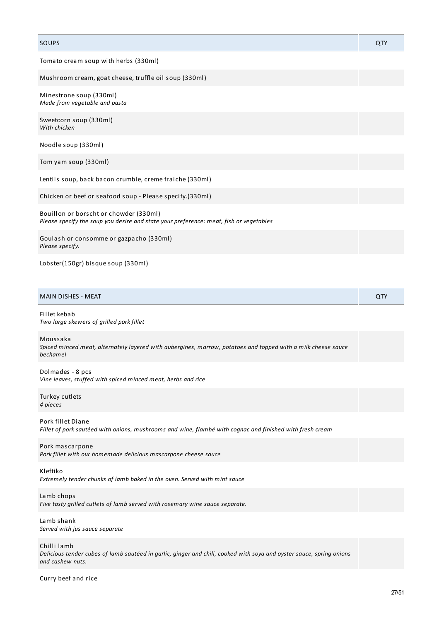# SOUPS And the contract of the contract of the contract of the contract of the contract of the contract of the contract of the contract of the contract of the contract of the contract of the contract of the contract of the Tomato cream soup with herbs (330ml) Mushroom cream, goat cheese, truffle oil soup (330ml) Minestrone soup (330ml) *Made from vegetable and pasta* Sweetcorn soup (330ml) *With chicken* Noodle soup (330ml) Tom yam soup (330ml) Lentils soup, back bacon crumble, creme fraiche (330ml) Chicken or beef or seafood soup - Please specify.(330ml) Bouillon or borscht or chowder (330ml) *Please specify the soup you desire and state your preference: meat, fish or vegetables* Goulash or consomme or gazpacho (330ml) *Please specify.* Lobster(150gr) bisque soup (330ml) MAIN DISHES - MEAT **AND A STATE OF A STATE OF A STATE OF A STATE OF A STATE OF A STATE OF A STATE OF A STATE OF A** Fillet kebab *Two large skewers of grilled pork fillet* Moussaka *Spiced minced meat, alternately layered with aubergines, marrow, potatoes and topped with a milk cheese sauce bechamel* Dolmades - 8 pcs *Vine leaves, stuffed with spiced minced meat, herbs and rice* Turkey cutlets *4 pieces* Pork fillet Diane *Fillet of pork sautéed with onions, mushrooms and wine, flambé with cognac and finished with fresh cream* Pork mascarpone *Pork fillet with our homemade delicious mascarpone cheese sauce* Kleftiko *Extremely tender chunks of lamb baked in the oven. Served with mint sauce* Lamb chops *Five tasty grilled cutlets of lamb served with rosemary wine sauce separate.* Lamb shank *Served with jus sauce separate* Chilli lamb Delicious tender cubes of lamb sautéed in garlic, ginger and chili, cooked with soya and oyster sauce, spring onions *and cashew nuts.* Curry beef and rice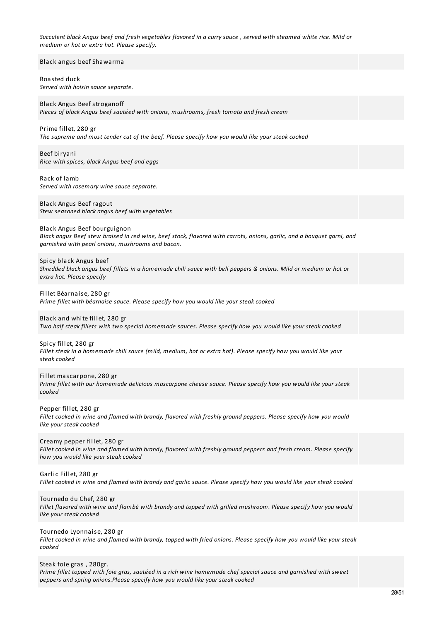Succulent black Angus beef and fresh vegetables flavored in a curry sauce, served with steamed white rice. Mild or *medium or hot or extra hot. Please specify.*

Black angus beef Shawarma

Roasted duck *Served with hoisin sauce separate.*

Black Angus Beef stroganoff *Pieces of black Angus beef sautéed with onions, mushrooms, fresh tomato and fresh cream*

Prime fillet, 280 gr *The supreme and most tender cut of the beef. Please specify how you would like your steak cooked*

Beef biryani *Rice with spices, black Angus beef and eggs*

Rack of lamb *Served with rosemary wine sauce separate.*

Black Angus Beef ragout *Stew seasoned black angus beef with vegetables*

Black Angus Beef bourguignon Black angus Beef stew braised in red wine, beef stock, flavored with carrots, onions, garlic, and a bouquet garni, and *garnished with pearl onions, mushrooms and bacon.*

Spicy black Angus beef Shredded black angus beef fillets in a homemade chili sauce with bell peppers & onions. Mild or medium or hot or *extra hot. Please specify*

Fillet Béarnaise, 280 gr *Prime fillet with béarnaise sauce. Please specify how you would like your steak cooked*

Black and white fillet, 280 gr Two half steak fillets with two special homemade sauces. Please specify how you would like your steak cooked

Spicy fillet, 280 gr Fillet steak in a homemade chili sauce (mild, medium, hot or extra hot). Please specify how you would like your *steak cooked*

Fillet mascarpone, 280 gr Prime fillet with our homemade delicious mascarpone cheese sauce. Please specify how you would like your steak *cooked*

Pepper fillet, 280 gr Fillet cooked in wine and flamed with brandy, flavored with freshly ground peppers. Please specify how you would *like your steak cooked*

Creamy pepper fillet, 280 gr Fillet cooked in wine and flamed with brandy, flavored with freshly around peppers and fresh cream. Please specify *how you would like your steak cooked*

Garlic Fillet, 280 gr Fillet cooked in wine and flamed with brandy and garlic sauce. Please specify how you would like your steak cooked

Tournedo du Chef, 280 gr

Fillet flavored with wine and flambé with brandy and topped with grilled mushroom. Please specify how you would *like your steak cooked*

Tournedo Lyonnaise, 280 gr

Fillet cooked in wine and flamed with brandy, topped with fried onions. Please specify how you would like your steak *cooked*

Steak foie gras , 280gr.

Prime fillet topped with foie gras, sautéed in a rich wine homemade chef special sauce and garnished with sweet *peppers and spring onions.Please specify how you would like your steak cooked*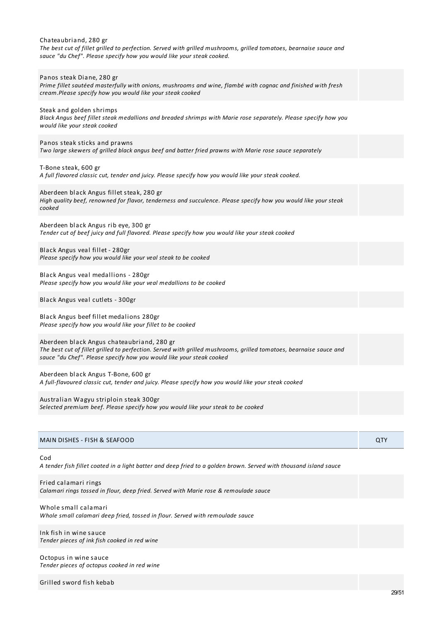| Chateaubriand, 280 gr<br>The best cut of fillet grilled to perfection. Served with grilled mushrooms, grilled tomatoes, bearnaise sauce and<br>sauce "du Chef". Please specify how you would like your steak cooked.                     |     |
|------------------------------------------------------------------------------------------------------------------------------------------------------------------------------------------------------------------------------------------|-----|
| Panos steak Diane, 280 gr<br>Prime fillet sautéed masterfully with onions, mushrooms and wine, flambé with cognac and finished with fresh<br>cream.Please specify how you would like your steak cooked                                   |     |
| Steak and golden shrimps<br>Black Angus beef fillet steak medallions and breaded shrimps with Marie rose separately. Please specify how you<br>would like your steak cooked                                                              |     |
| Panos steak sticks and prawns<br>Two large skewers of grilled black angus beef and batter fried prawns with Marie rose sauce separately                                                                                                  |     |
| T-Bone steak, 600 gr<br>A full flavored classic cut, tender and juicy. Please specify how you would like your steak cooked.                                                                                                              |     |
| Aberdeen black Angus fillet steak, 280 gr<br>High quality beef, renowned for flavor, tenderness and succulence. Please specify how you would like your steak<br>cooked                                                                   |     |
| Aberdeen black Angus rib eye, 300 gr<br>Tender cut of beef juicy and full flavored. Please specify how you would like your steak cooked                                                                                                  |     |
| Black Angus veal fillet - 280gr<br>Please specify how you would like your veal steak to be cooked                                                                                                                                        |     |
| Black Angus veal medallions - 280gr<br>Please specify how you would like your veal medallions to be cooked                                                                                                                               |     |
| Black Angus veal cutlets - 300gr                                                                                                                                                                                                         |     |
| Black Angus beef fillet medalions 280gr<br>Please specify how you would like your fillet to be cooked                                                                                                                                    |     |
| Aberdeen black Angus chateaubriand, 280 gr<br>The best cut of fillet grilled to perfection. Served with grilled mushrooms, grilled tomatoes, bearnaise sauce and<br>sauce "du Chef". Please specify how you would like your steak cooked |     |
| Aberdeen black Angus T-Bone, 600 gr<br>A full-flavoured classic cut, tender and juicy. Please specify how you would like your steak cooked                                                                                               |     |
| Australian Wagyu striploin steak 300gr<br>Selected premium beef. Please specify how you would like your steak to be cooked                                                                                                               |     |
|                                                                                                                                                                                                                                          |     |
| MAIN DISHES - FISH & SEAFOOD                                                                                                                                                                                                             | QTY |

Cod

A tender fish fillet coated in a light batter and deep fried to a golden brown. Served with thousand island sauce

Fried calamari rings *Calamari rings tossed in flour, deep fried. Served with Marie rose & remoulade sauce*

Whole small calamari *Whole small calamari deep fried, tossed in flour. Served with remoulade sauce*

Ink fish in wine sauce *Tender pieces of ink fish cooked in red wine*

Octopus in wine sauce *Tender pieces of octopus cooked in red wine*

Grilled sword fish kebab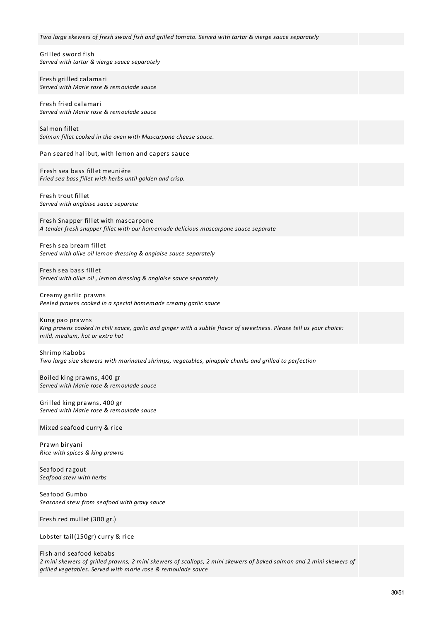| Two large skewers of fresh sword fish and grilled tomato. Served with tartar & vierge sauce separately                                                                   |
|--------------------------------------------------------------------------------------------------------------------------------------------------------------------------|
| Grilled sword fish<br>Served with tartar & vierge sauce separately                                                                                                       |
| Fresh grilled calamari<br>Served with Marie rose & remoulade sauce                                                                                                       |
| Fresh fried calamari<br>Served with Marie rose & remoulade sauce                                                                                                         |
| Salmon fillet<br>Salmon fillet cooked in the oven with Mascarpone cheese sauce.                                                                                          |
| Pan seared halibut, with lemon and capers sauce                                                                                                                          |
| Fresh sea bass fillet meuniére<br>Fried sea bass fillet with herbs until golden and crisp.                                                                               |
| Fresh trout fillet<br>Served with anglaise sauce separate                                                                                                                |
| Fresh Snapper fillet with mascarpone<br>A tender fresh snapper fillet with our homemade delicious mascarpone sauce separate                                              |
| Fresh sea bream fillet<br>Served with olive oil lemon dressing & anglaise sauce separately                                                                               |
| Fresh sea bass fillet<br>Served with olive oil, lemon dressing & anglaise sauce separately                                                                               |
| Creamy garlic prawns<br>Peeled prawns cooked in a special homemade creamy garlic sauce                                                                                   |
| Kung pao prawns<br>King prawns cooked in chili sauce, garlic and ginger with a subtle flavor of sweetness. Please tell us your choice:<br>mild, medium, hot or extra hot |
| Shrimp Kabobs<br>Two large size skewers with marinated shrimps, vegetables, pinapple chunks and grilled to perfection                                                    |
| Boiled king prawns, 400 gr<br>Served with Marie rose & remoulade sauce                                                                                                   |
| Grilled king prawns, 400 gr<br>Served with Marie rose & remoulade sauce                                                                                                  |
| Mixed seafood curry & rice                                                                                                                                               |
| Prawn biryani<br>Rice with spices & king prawns                                                                                                                          |
| Seafood ragout<br>Seafood stew with herbs                                                                                                                                |
|                                                                                                                                                                          |

Seafood Gumbo *Seasoned stew from seafood with gravy sauce*

Fresh red mullet (300 gr.)

Lobster tail(150gr) curry & rice

# Fish and seafood kebabs

2 mini skewers of grilled prawns, 2 mini skewers of scallops, 2 mini skewers of baked salmon and 2 mini skewers of *grilled vegetables. Served with marie rose & remoulade sauce*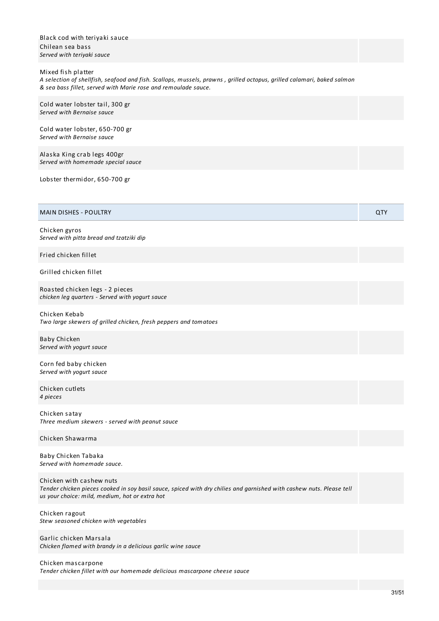| Black cod with teriyaki sauce<br>Chilean sea bass<br>Served with teriyaki sauce                                                                                                                                |     |
|----------------------------------------------------------------------------------------------------------------------------------------------------------------------------------------------------------------|-----|
| Mixed fish platter<br>A selection of shellfish, seafood and fish. Scallops, mussels, prawns, grilled octopus, grilled calamari, baked salmon<br>& sea bass fillet, served with Marie rose and remoulade sauce. |     |
| Cold water lobster tail, 300 gr<br>Served with Bernaise sauce                                                                                                                                                  |     |
| Cold water lobster, 650-700 gr<br>Served with Bernaise sauce                                                                                                                                                   |     |
| Alaska King crab legs 400gr<br>Served with homemade special sauce                                                                                                                                              |     |
| Lobster thermidor, 650-700 gr                                                                                                                                                                                  |     |
| <b>MAIN DISHES - POULTRY</b>                                                                                                                                                                                   | QTY |
| Chicken gyros<br>Served with pitta bread and tzatziki dip                                                                                                                                                      |     |
| Fried chicken fillet                                                                                                                                                                                           |     |
| Grilled chicken fillet                                                                                                                                                                                         |     |
| Roasted chicken legs - 2 pieces<br>chicken leg quarters - Served with yogurt sauce                                                                                                                             |     |
| Chicken Kebab<br>Two large skewers of grilled chicken, fresh peppers and tomatoes                                                                                                                              |     |
| <b>Baby Chicken</b><br>Served with yogurt sauce                                                                                                                                                                |     |
| Corn fed baby chicken<br>Served with yogurt sauce                                                                                                                                                              |     |
| Chicken cutlets<br>4 pieces                                                                                                                                                                                    |     |
| Chicken satay<br>Three medium skewers - served with peanut sauce                                                                                                                                               |     |
| Chicken Shawarma                                                                                                                                                                                               |     |
| Baby Chicken Tabaka<br>Served with homemade sauce.                                                                                                                                                             |     |
| Chicken with cashew nuts<br>Tender chicken pieces cooked in soy basil sauce, spiced with dry chilies and garnished with cashew nuts. Please tell<br>us your choice: mild, medium, hot or extra hot             |     |
| Chicken ragout                                                                                                                                                                                                 |     |

Garlic chicken Marsala *Chicken flamed with brandy in a delicious garlic wine sauce*

*Stew seasoned chicken with vegetables*

Chicken mascarpone *Tender chicken fillet with our homemade delicious mascarpone cheese sauce*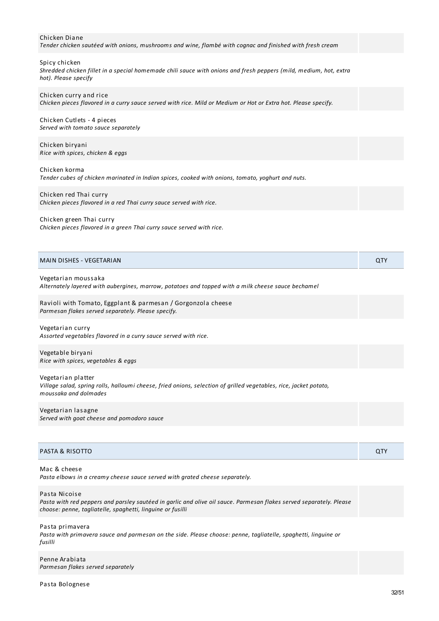#### Chicken Diane

*Tender chicken sautéed with onions, mushrooms and wine, flambé with cognac and finished with fresh cream*

#### Spicy chicken

Shredded chicken fillet in a special homemade chili sauce with onions and fresh peppers (mild, medium, hot, extra *hot). Please specify*

# Chicken curry and rice Chicken pieces flavored in a curry sauce served with rice. Mild or Medium or Hot or Extra hot. Please specify.

Chicken Cutlets - 4 pieces *Served with tomato sauce separately*

Chicken biryani *Rice with spices, chicken & eggs*

Chicken korma

*Tender cubes of chicken marinated in Indian spices, cooked with onions, tomato, yoghurt and nuts.*

Chicken red Thai curry *Chicken pieces flavored in a red Thai curry sauce served with rice.*

#### Chicken green Thai curry

*Chicken pieces flavored in a green Thai curry sauce served with rice.*

| MAIN DISHES - VEGETARIAN |  |
|--------------------------|--|
|                          |  |

#### Vegetarian moussaka

*Alternately layered with aubergines, marrow, potatoes and topped with a milk cheese sauce bechamel*

Ravioli with Tomato, Eggplant & parmesan / Gorgonzola cheese *Parmesan flakes served separately. Please specify.*

Vegetarian curry *Assorted vegetables flavored in a curry sauce served with rice.*

Vegetable biryani *Rice with spices, vegetables & eggs*

Vegetarian platter *Village salad, spring rolls, halloumi cheese, fried onions, selection of grilled vegetables, rice, jacket potato, moussaka and dolmades*

Vegetarian lasagne *Served with goat cheese and pomodoro sauce*

| PASTA & RISOTTO | QTY. |
|-----------------|------|
|-----------------|------|

Mac & cheese *Pasta elbows in a creamy cheese sauce served with grated cheese separately.*

Pasta Nicoise

Pasta with red peppers and parsley sautéed in garlic and olive oil sauce. Parmesan flakes served separately. Please *choose: penne, tagliatelle, spaghetti, linguine or fusilli*

Pasta primavera *Pasta with primavera sauce and parmesan on the side. Please choose: penne, tagliatelle, spaghetti, linguine or fusilli*

Penne Arabiata *Parmesan flakes served separately*

Pasta Bolognese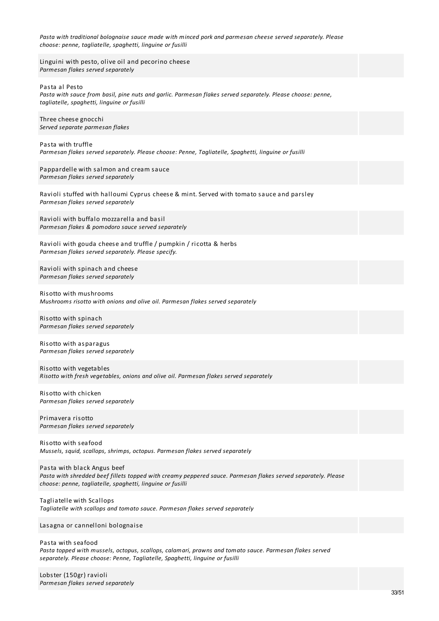| Pasta with traditional bolognaise sauce made with minced pork and parmesan cheese served separately. Please |  |
|-------------------------------------------------------------------------------------------------------------|--|
| choose: penne, tagliatelle, spaghetti, linguine or fusilli                                                  |  |

Linguini with pesto, olive oil and pecorino cheese *Parmesan flakes served separately*

Pasta al Pesto

*Pasta with sauce from basil, pine nuts and garlic. Parmesan flakes served separately. Please choose: penne, tagliatelle, spaghetti, linguine or fusilli*

Three cheese gnocchi *Served separate parmesan flakes*

Pasta with truffle *Parmesan flakes served separately. Please choose: Penne, Tagliatelle, Spaghetti, linguine or fusilli*

Pappardelle with salmon and cream sauce *Parmesan flakes served separately*

Ravioli stuffed with halloumi Cyprus cheese & mint. Served with tomato sauce and parsley *Parmesan flakes served separately*

Ravioli with buffalo mozzarella and basil *Parmesan flakes & pomodoro sauce served separately*

Ravioli with gouda cheese and truffle / pumpkin / ricotta & herbs *Parmesan flakes served separately. Please specify.*

Ravioli with spinach and cheese *Parmesan flakes served separately*

Risotto with mushrooms *Mushrooms risotto with onions and olive oil. Parmesan flakes served separately*

Risotto with spinach *Parmesan flakes served separately*

Risotto with asparagus *Parmesan flakes served separately*

Risotto with vegetables *Risotto with fresh vegetables, onions and olive oil. Parmesan flakes served separately*

Risotto with chicken *Parmesan flakes served separately*

Primavera risotto *Parmesan flakes served separately*

Risotto with seafood *Mussels, squid, scallops, shrimps, octopus. Parmesan flakes served separately*

Pasta with black Angus beef *Pasta with shredded beef fillets topped with creamy peppered sauce. Parmesan flakes served separately. Please choose: penne, tagliatelle, spaghetti, linguine or fusilli*

Tagliatelle with Scallops *Tagliatelle with scallops and tomato sauce. Parmesan flakes served separately*

Lasagna or cannelloni bolognaise

Pasta with seafood *Pasta topped with mussels, octopus, scallops, calamari, prawns and tomato sauce. Parmesan flakes served separately. Please choose: Penne, Tagliatelle, Spaghetti, linguine or fusilli*

Lobster (150gr) ravioli *Parmesan flakes served separately*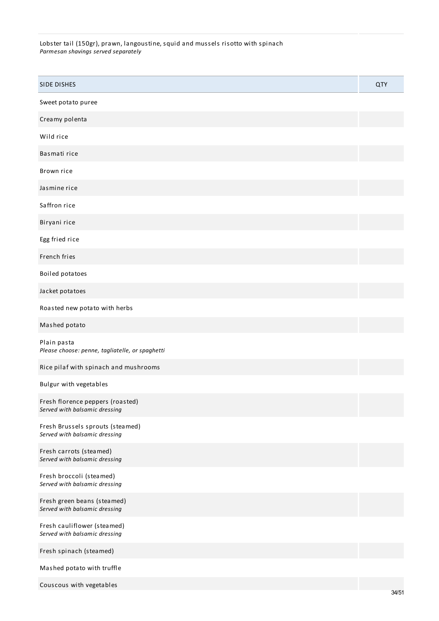Lobster tail (150gr), prawn, langoustine, squid and mussels risotto with spinach *Parmesan shavings served separately*

| <b>SIDE DISHES</b>                                                | QTY |
|-------------------------------------------------------------------|-----|
| Sweet potato puree                                                |     |
| Creamy polenta                                                    |     |
| Wild rice                                                         |     |
| Basmati rice                                                      |     |
| Brown rice                                                        |     |
| Jasmine rice                                                      |     |
| Saffron rice                                                      |     |
| Biryani rice                                                      |     |
| Egg fried rice                                                    |     |
| French fries                                                      |     |
| Boiled potatoes                                                   |     |
| Jacket potatoes                                                   |     |
| Roasted new potato with herbs                                     |     |
| Mashed potato                                                     |     |
| Plain pasta<br>Please choose: penne, tagliatelle, or spaghetti    |     |
| Rice pilaf with spinach and mushrooms                             |     |
| Bulgur with vegetables                                            |     |
| Fresh florence peppers (roasted)<br>Served with balsamic dressing |     |
| Fresh Brussels sprouts (steamed)<br>Served with balsamic dressing |     |
| Fresh carrots (steamed)<br>Served with balsamic dressing          |     |
| Fresh broccoli (steamed)<br>Served with balsamic dressing         |     |
| Fresh green beans (steamed)<br>Served with balsamic dressing      |     |
| Fresh cauliflower (steamed)<br>Served with balsamic dressing      |     |
| Fresh spinach (steamed)                                           |     |
| Mashed potato with truffle                                        |     |
| Couscous with vegetables                                          |     |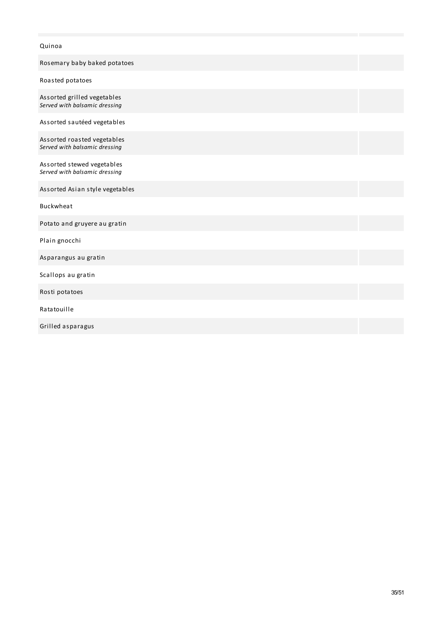# Quinoa

| Rosemary baby baked potatoes                                 |  |
|--------------------------------------------------------------|--|
| Roasted potatoes                                             |  |
| Assorted grilled vegetables<br>Served with balsamic dressing |  |
| Assorted sautéed vegetables                                  |  |
| Assorted roasted vegetables<br>Served with balsamic dressing |  |
| Assorted stewed vegetables<br>Served with balsamic dressing  |  |
| Assorted Asian style vegetables                              |  |
| <b>Buckwheat</b>                                             |  |
| Potato and gruyere au gratin                                 |  |
| Plain gnocchi                                                |  |
| Asparangus au gratin                                         |  |
| Scallops au gratin                                           |  |
| Rosti potatoes                                               |  |
| Ratatouille                                                  |  |
| Grilled asparagus                                            |  |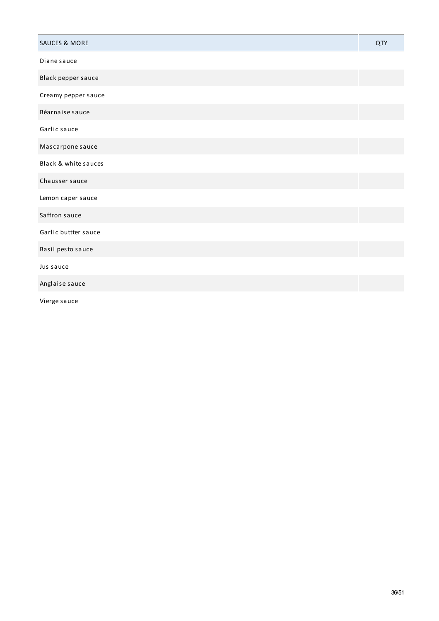| <b>SAUCES &amp; MORE</b>                                        | QTY |
|-----------------------------------------------------------------|-----|
| Diane sauce                                                     |     |
| Black pepper sauce                                              |     |
| Creamy pepper sauce                                             |     |
| Béarnaise sauce                                                 |     |
| Garlic sauce                                                    |     |
| Mascarpone sauce                                                |     |
| Black & white sauces                                            |     |
| Chausser sauce                                                  |     |
| Lemon caper sauce                                               |     |
| Saffron sauce                                                   |     |
| Garlic buttter sauce                                            |     |
| Basil pesto sauce                                               |     |
| Jus sauce                                                       |     |
| Anglaise sauce                                                  |     |
| $\mathbf{r}$ and $\mathbf{r}$ and $\mathbf{r}$ and $\mathbf{r}$ |     |

Vierge sauce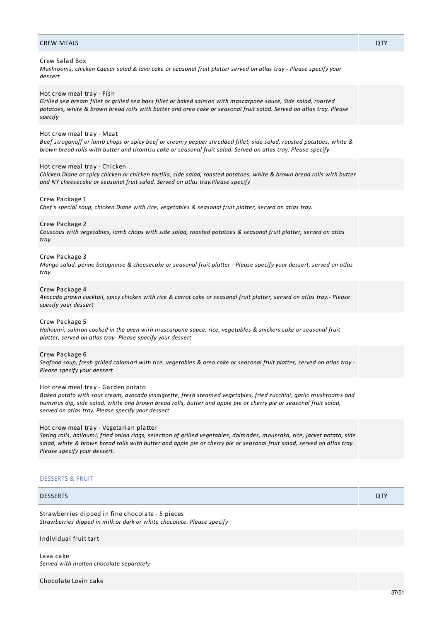# CREW MEALS QTY

# Crew Salad Box

Mushrooms, chicken Caesar salad & lava cake or seasonal fruit platter served on atlas tray - Please specify your *dessert*

## Hot crew meal tray - Fish

Grilled sea bream fillet or grilled sea bass fillet or baked salmon with mascarpone sauce, Side salad, roasted potatoes, white & brown bread rolls with butter and oreo cake or seasonal fruit salad. Served on atlas tray. Please *specify*

#### Hot crew meal tray - Meat

Beef stroganoff or lamb chops or spicy beef or creamy pepper shredded fillet, side salad, roasted potatoes, white & brown bread rolls with butter and tiramisu cake or seasonal fruit salad. Served on atlas tray. Please specify

#### Hot crew meal tray - Chicken

Chicken Diane or spicy chicken or chicken tortilla, side salad, roasted potatoes, white & brown bread rolls with butter *and NY cheesecake or seasonal fruit salad. Served on atlas tray.Please specify*

# Crew Package 1

*Chef's special soup, chicken Diane with rice, vegetables & seasonal fruit platter, served on atlas tray.*

# Crew Package 2

Couscous with vegetables, lamb chops with side salad, roasted potatoes & seasonal fruit platter, served on atlas *tray.*

# Crew Package 3

Mango salad, penne bolognaise & cheesecake or seasonal fruit platter - Please specify your dessert, served on atlas *tray.*

#### Crew Package 4

Avocado prawn cocktail, spicy chicken with rice & carrot cake or seasonal fruit platter, served on atlas tray.- Please *specify your dessert*

# Crew Package 5

Halloumi, salmon cooked in the oven wirh mascarpone sauce, rice, vegetables & snickers cake or seasonal fruit *platter, served on atlas tray- Please specify your dessert*

# Crew Package 6

Seafood soup, fresh grilled calamari with rice, vegetables & oreo cake or seasonal fruit platter, served on atlas tray -*Please specify your dessert*

#### Hot crew meal tray - Garden potato

*Baked potato with sour cream, avocado vinaigrette, fresh steamed vegetables, fried zucchini, garlic mushrooms and* hummus dip, side salad, white and brown bread rolls, butter and apple pie or cherry pie or seasonal fruit salad, *served on atlas tray. Please specify your dessert*

#### Hot crew meal tray - Vegetarian platter

Spring rolls, halloumi, fried onion rings, selection of grilled vegetables, dolmades, moussaka, rice, jacket potato, side salad, white & brown bread rolls with butter and apple pie or cherry pie or seasonal fruit salad, served on atlas tray. *Please specify your dessert.*

#### DESSERTS & FRUIT

# DESSERTS QTY

Strawberries dipped in fine chocolate - 5 pieces *Strawberries dipped in milk or dark or white chocolate. Please specify*

# Individual fruit tart

Lava cake *Served with molten chocolate separately*

Chocolate Lovin cake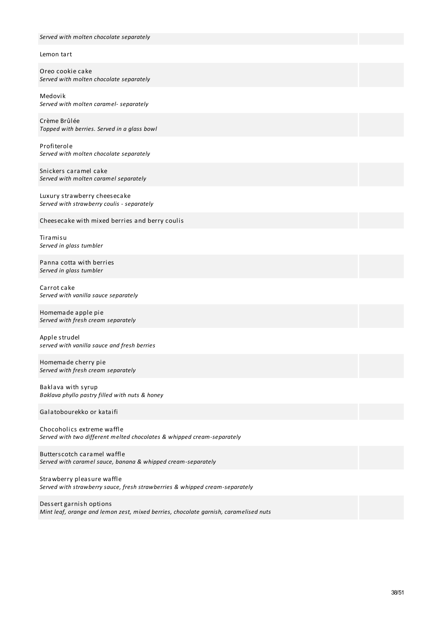| Served with molten chocolate separately                                                                   |
|-----------------------------------------------------------------------------------------------------------|
|                                                                                                           |
| Lemon tart                                                                                                |
| Oreo cookie cake<br>Served with molten chocolate separately                                               |
| Medovik<br>Served with molten caramel- separately                                                         |
| Crème Brûlée<br>Topped with berries. Served in a glass bowl                                               |
| Profiterole<br>Served with molten chocolate separately                                                    |
| Snickers caramel cake<br>Served with molten caramel separately                                            |
| Luxury strawberry cheesecake<br>Served with strawberry coulis - separately                                |
| Cheesecake with mixed berries and berry coulis                                                            |
| Tiramisu<br>Served in glass tumbler                                                                       |
| Panna cotta with berries<br>Served in glass tumbler                                                       |
| Carrot cake<br>Served with vanilla sauce separately                                                       |
| Homemade apple pie<br>Served with fresh cream separately                                                  |
| Apple strudel<br>served with vanilla sauce and fresh berries                                              |
| Homemade cherry pie<br>Served with fresh cream separately                                                 |
| Baklava with syrup<br>Baklava phyllo pastry filled with nuts & honey                                      |
| Galatobourekko or kataifi                                                                                 |
| Chocoholics extreme waffle<br>Served with two different melted chocolates & whipped cream-separately      |
| Butterscotch caramel waffle<br>Served with caramel sauce, banana & whipped cream-separately               |
| Strawberry pleasure waffle<br>Served with strawberry sauce, fresh strawberries & whipped cream-separately |

Dessert garnish options *Mint leaf, orange and lemon zest, mixed berries, chocolate garnish, caramelised nuts*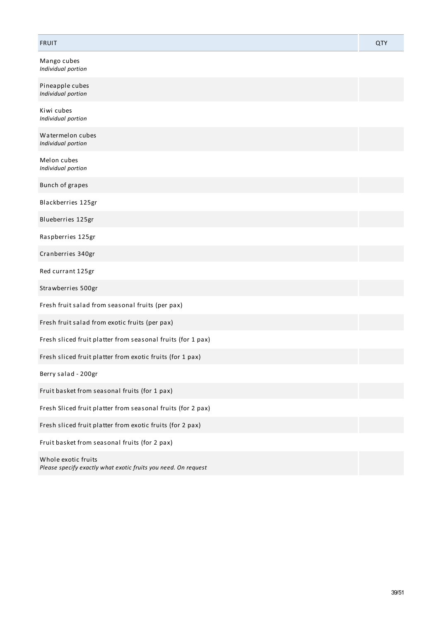# FRUIT QTY

Mango cubes *Individual portion*

| Pineapple cubes<br>Individual portion                                                 |  |
|---------------------------------------------------------------------------------------|--|
| Kiwi cubes<br>Individual portion                                                      |  |
| Watermelon cubes<br>Individual portion                                                |  |
| Melon cubes<br>Individual portion                                                     |  |
| Bunch of grapes                                                                       |  |
| Blackberries 125gr                                                                    |  |
| Blueberries 125gr                                                                     |  |
| Raspberries 125gr                                                                     |  |
| Cranberries 340gr                                                                     |  |
| Red currant 125gr                                                                     |  |
| Strawberries 500gr                                                                    |  |
| Fresh fruit salad from seasonal fruits (per pax)                                      |  |
| Fresh fruit salad from exotic fruits (per pax)                                        |  |
| Fresh sliced fruit platter from seasonal fruits (for 1 pax)                           |  |
| Fresh sliced fruit platter from exotic fruits (for 1 pax)                             |  |
| Berry salad - 200gr                                                                   |  |
| Fruit basket from seasonal fruits (for 1 pax)                                         |  |
| Fresh Sliced fruit platter from seasonal fruits (for 2 pax)                           |  |
| Fresh sliced fruit platter from exotic fruits (for 2 pax)                             |  |
| Fruit basket from seasonal fruits (for 2 pax)                                         |  |
| Whole exotic fruits<br>Please specify exactly what exotic fruits you need. On request |  |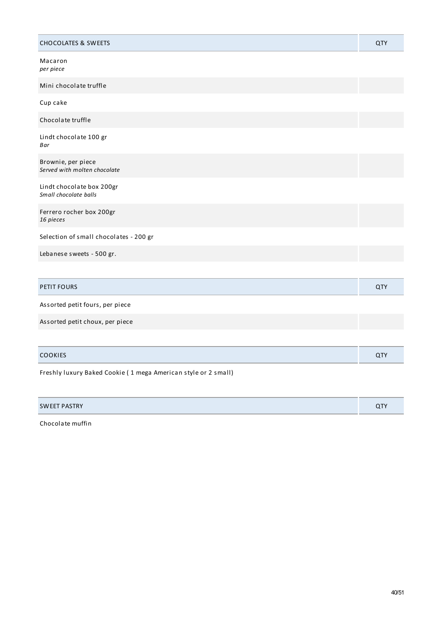| <b>CHOCOLATES &amp; SWEETS</b>                                 | QTY |
|----------------------------------------------------------------|-----|
| Macaron<br>per piece                                           |     |
| Mini chocolate truffle                                         |     |
| Cup cake                                                       |     |
| Chocolate truffle                                              |     |
| Lindt chocolate 100 gr<br>Bar                                  |     |
| Brownie, per piece<br>Served with molten chocolate             |     |
| Lindt chocolate box 200gr<br>Small chocolate balls             |     |
| Ferrero rocher box 200gr<br>16 pieces                          |     |
| Selection of small chocolates - 200 gr                         |     |
| Lebanese sweets - 500 gr.                                      |     |
|                                                                |     |
| <b>PETIT FOURS</b>                                             | QTY |
| Assorted petit fours, per piece                                |     |
| Assorted petit choux, per piece                                |     |
|                                                                |     |
| <b>COOKIES</b>                                                 | QTY |
| Freshly luxury Baked Cookie (1 mega American style or 2 small) |     |

| PASTRY<br><b>SWEET</b> | $\overline{\phantom{a}}$ |
|------------------------|--------------------------|
|------------------------|--------------------------|

Chocolate muffin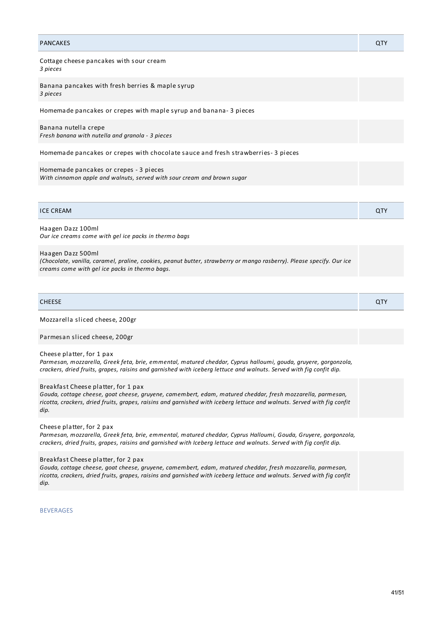| <b>PANCAKES</b>                                                                                                   | QTY |
|-------------------------------------------------------------------------------------------------------------------|-----|
| Cottage cheese pancakes with sour cream<br>3 pieces                                                               |     |
| Banana pancakes with fresh berries & maple syrup<br>3 pieces                                                      |     |
| Homemade pancakes or crepes with maple syrup and banana-3 pieces                                                  |     |
| Banana nutella crepe<br>Fresh banana with nutella and granola - 3 pieces                                          |     |
| Homemade pancakes or crepes with chocolate sauce and fresh strawberries-3 pieces                                  |     |
| Homemade pancakes or crepes - 3 pieces<br>With cinnamon apple and walnuts, served with sour cream and brown sugar |     |

| <b>ICE CREAM</b> |  |  |
|------------------|--|--|
|                  |  |  |

Haagen Dazz 100ml *Our ice creams come with gel ice packs in thermo bags*

# Haagen Dazz 500ml

*(Chocolate, vanilla, caramel, praline, cookies, peanut butter, strawberry or mango rasberry). Please specify. Our ice creams come with gel ice packs in thermo bags.*

| CHEESE | $\sim$ |
|--------|--------|

Mozzarella sliced cheese, 200gr

Parmesan sliced cheese, 200gr

# Cheese platter, for 1 pax

*Parmesan, mozzarella, Greek feta, brie, emmental, matured cheddar, Cyprus halloumi, gouda, gruyere, gorgonzola,* crackers, dried fruits, grapes, raisins and garnished with iceberg lettuce and walnuts. Served with fig confit dip.

### Breakfast Cheese platter, for 1 pax

*Gouda, cottage cheese, goat cheese, gruyene, camembert, edam, matured cheddar, fresh mozzarella, parmesan,* ricotta, crackers, dried fruits, grapes, raisins and garnished with iceberg lettuce and walnuts. Served with fig confit *dip.*

Cheese platter, for 2 pax

*Parmesan, mozzarella, Greek feta, brie, emmental, matured cheddar, Cyprus Halloumi, Gouda, Gruyere, gorgonzola,* crackers, dried fruits, grapes, raisins and garnished with Iceberg lettuce and walnuts. Served with fig confit dip.

#### Breakfast Cheese platter, for 2 pax

*Gouda, cottage cheese, goat cheese, gruyene, camembert, edam, matured cheddar, fresh mozzarella, parmesan,* ricotta, crackers, dried fruits, grapes, raisins and garnished with iceberg lettuce and walnuts. Served with fig confit *dip.*

**BEVERAGES**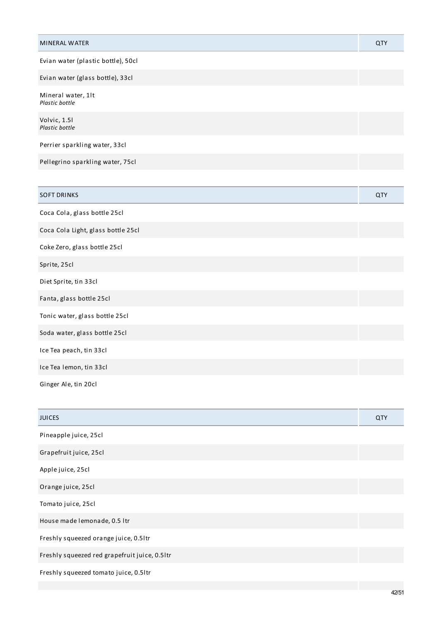| <b>MINERAL WATER</b>                 | QTY        |
|--------------------------------------|------------|
| Evian water (plastic bottle), 50cl   |            |
| Evian water (glass bottle), 33cl     |            |
| Mineral water, 1lt<br>Plastic bottle |            |
| Volvic, 1.51<br>Plastic bottle       |            |
| Perrier sparkling water, 33cl        |            |
| Pellegrino sparkling water, 75cl     |            |
|                                      |            |
| <b>SOFT DRINKS</b>                   | <b>QTY</b> |
| Coca Cola, glass bottle 25cl         |            |
| Coca Cola Light, glass bottle 25cl   |            |
| Coke Zero, glass bottle 25cl         |            |
| Sprite, 25cl                         |            |
| Diet Sprite, tin 33cl                |            |
| Fanta, glass bottle 25cl             |            |
| Tonic water, glass bottle 25cl       |            |
| Soda water, glass bottle 25cl        |            |
| Ice Tea peach, tin 33cl              |            |
| Ice Tea lemon, tin 33cl              |            |
| Ginger Ale, tin 20cl                 |            |

| <b>JUICES</b>                                 | QTY |
|-----------------------------------------------|-----|
| Pineapple juice, 25cl                         |     |
| Grapefruit juice, 25cl                        |     |
| Apple juice, 25cl                             |     |
| Orange juice, 25cl                            |     |
| Tomato juice, 25cl                            |     |
| House made lemonade, 0.5 ltr                  |     |
| Freshly squeezed orange juice, 0.5ltr         |     |
| Freshly squeezed red grapefruit juice, 0.5ltr |     |
| Freshly squeezed tomato juice, 0.5ltr         |     |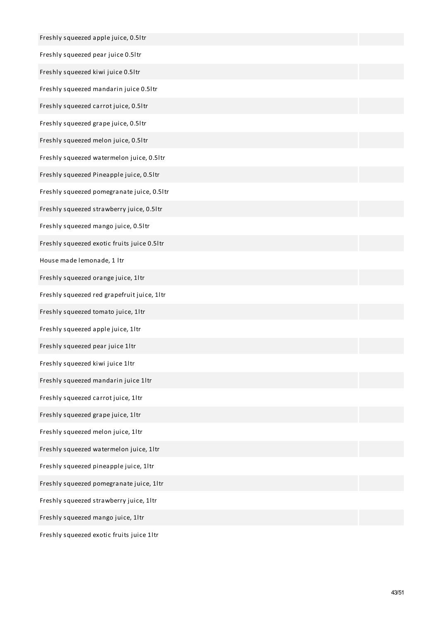| Freshly squeezed apple juice, 0.5ltr        |  |
|---------------------------------------------|--|
| Freshly squeezed pear juice 0.5ltr          |  |
| Freshly squeezed kiwi juice 0.5ltr          |  |
| Freshly squeezed mandarin juice 0.5ltr      |  |
| Freshly squeezed carrot juice, 0.5ltr       |  |
| Freshly squeezed grape juice, 0.5ltr        |  |
| Freshly squeezed melon juice, 0.5ltr        |  |
| Freshly squeezed watermelon juice, 0.5ltr   |  |
| Freshly squeezed Pineapple juice, 0.5ltr    |  |
| Freshly squeezed pomegranate juice, 0.5ltr  |  |
| Freshly squeezed strawberry juice, 0.5ltr   |  |
| Freshly squeezed mango juice, 0.5ltr        |  |
| Freshly squeezed exotic fruits juice 0.5ltr |  |
| House made lemonade, 1 ltr                  |  |
| Freshly squeezed orange juice, 1ltr         |  |
| Freshly squeezed red grapefruit juice, 1ltr |  |
| Freshly squeezed tomato juice, 1ltr         |  |
| Freshly squeezed apple juice, 1ltr          |  |
| Freshly squeezed pear juice 1ltr            |  |
| Freshly squeezed kiwi juice 1ltr            |  |
| Freshly squeezed mandarin juice 1ltr        |  |
| Freshly squeezed carrot juice, 1ltr         |  |
| Freshly squeezed grape juice, 1ltr          |  |
| Freshly squeezed melon juice, 1ltr          |  |
| Freshly squeezed watermelon juice, 1ltr     |  |
| Freshly squeezed pineapple juice, 1ltr      |  |
| Freshly squeezed pomegranate juice, 1ltr    |  |
| Freshly squeezed strawberry juice, 1ltr     |  |
| Freshly squeezed mango juice, 1ltr          |  |
|                                             |  |

Freshly squeezed exotic fruits juice 1ltr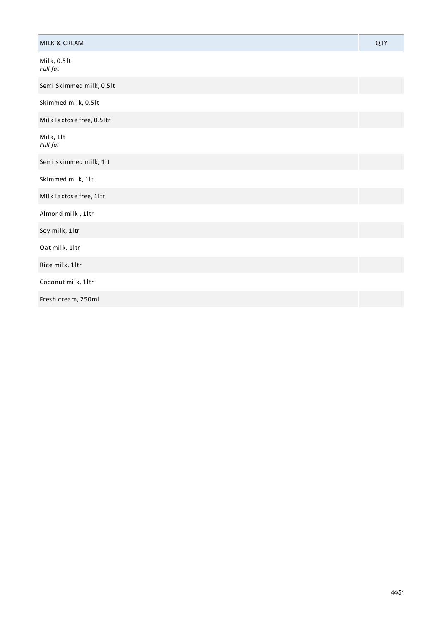| MILK & CREAM              | QTY |
|---------------------------|-----|
| Milk, 0.5lt<br>Full fat   |     |
| Semi Skimmed milk, 0.5lt  |     |
| Skimmed milk, 0.5lt       |     |
| Milk lactose free, 0.5ltr |     |
| Milk, 1lt<br>Full fat     |     |
| Semi skimmed milk, 1lt    |     |
| Skimmed milk, 1lt         |     |
| Milk lactose free, 1ltr   |     |
| Almond milk, 1ltr         |     |
| Soy milk, 1ltr            |     |
| Oat milk, 1ltr            |     |
| Rice milk, 1ltr           |     |
| Coconut milk, 1ltr        |     |
| Fresh cream, 250ml        |     |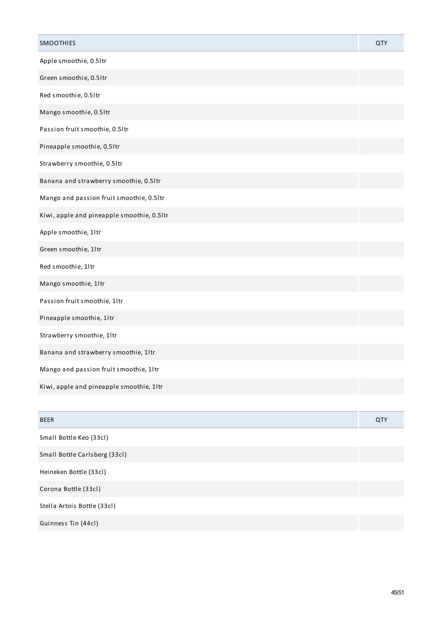| SMOOTHIES                                  | QTY |
|--------------------------------------------|-----|
| Apple smoothie, 0.5ltr                     |     |
| Green smoothie, 0.5ltr                     |     |
| Red smoothie, 0.51tr                       |     |
| Mango smoothie, 0.5ltr                     |     |
| Passion fruit smoothie, 0.5ltr             |     |
| Pineapple smoothie, 0.5ltr                 |     |
| Strawberry smoothie, 0.5ltr                |     |
| Banana and strawberry smoothie, 0.5ltr     |     |
| Mango and passion fruit smoothie, 0.5ltr   |     |
| Kiwi, apple and pineapple smoothie, 0.5ltr |     |
| Apple smoothie, 1ltr                       |     |
| Green smoothie, 1ltr                       |     |
| Red smoothie, 1ltr                         |     |
| Mango smoothie, 1ltr                       |     |
| Passion fruit smoothie, 1ltr               |     |
| Pineapple smoothie, 1ltr                   |     |
| Strawberry smoothie, 1ltr                  |     |
| Banana and strawberry smoothie, 1ltr       |     |
| Mango and passion fruit smoothie, 1ltr     |     |
| Kiwi, apple and pineapple smoothie, 1ltr   |     |
|                                            |     |
| <b>BEER</b>                                | QTY |
| Small Bottle Keo (33cl)                    |     |
| Small Bottle Carlsberg (33cl)              |     |
| Heineken Bottle (33cl)                     |     |
| Corona Bottle (33cl)                       |     |
| Stella Artois Bottle (33cl)                |     |
| Guinness Tin (44cl)                        |     |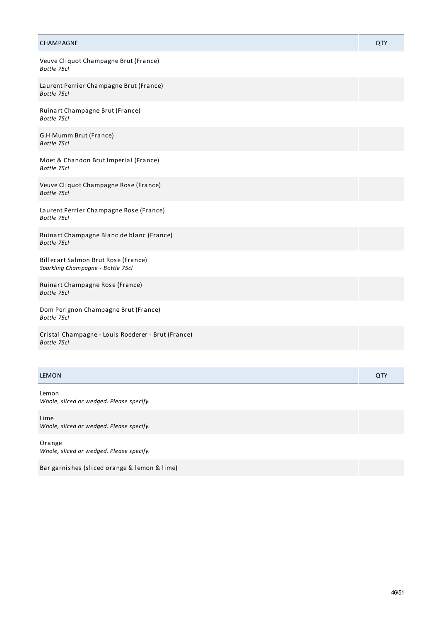| CHAMPAGNE                                                                | <b>QTY</b> |
|--------------------------------------------------------------------------|------------|
| Veuve Cliquot Champagne Brut (France)<br>Bottle 75cl                     |            |
| Laurent Perrier Champagne Brut (France)<br>Bottle 75cl                   |            |
| Ruinart Champagne Brut (France)<br>Bottle 75cl                           |            |
| G.H Mumm Brut (France)<br>Bottle 75cl                                    |            |
| Moet & Chandon Brut Imperial (France)<br>Bottle 75cl                     |            |
| Veuve Cliquot Champagne Rose (France)<br>Bottle 75cl                     |            |
| Laurent Perrier Champagne Rose (France)<br>Bottle 75cl                   |            |
| Ruinart Champagne Blanc de blanc (France)<br>Bottle 75cl                 |            |
| Billecart Salmon Brut Rose (France)<br>Sparkling Champagne - Bottle 75cl |            |
| Ruinart Champagne Rose (France)<br>Bottle 75cl                           |            |
| Dom Perignon Champagne Brut (France)<br>Bottle 75cl                      |            |
| Cristal Champagne - Louis Roederer - Brut (France)<br>Bottle 75cl        |            |
|                                                                          |            |
| <b>LEMON</b>                                                             | QTY        |

Lemon *Whole, sliced or wedged. Please specify.*

Lime *Whole, sliced or wedged. Please specify.*

Orange *Whole, sliced or wedged. Please specify.*

Bar garnishes (sliced orange & lemon & lime)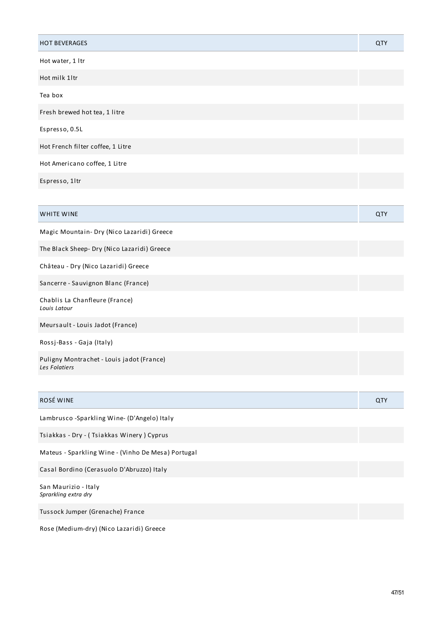| <b>HOT BEVERAGES</b>                                       | QTY |
|------------------------------------------------------------|-----|
| Hot water, 1 ltr                                           |     |
| Hot milk 1ltr                                              |     |
| Tea box                                                    |     |
| Fresh brewed hot tea, 1 litre                              |     |
| Espresso, 0.5L                                             |     |
| Hot French filter coffee, 1 Litre                          |     |
| Hot Americano coffee, 1 Litre                              |     |
| Espresso, 1ltr                                             |     |
|                                                            |     |
| WHITE WINE                                                 | QTY |
| Magic Mountain- Dry (Nico Lazaridi) Greece                 |     |
| The Black Sheep- Dry (Nico Lazaridi) Greece                |     |
| Château - Dry (Nico Lazaridi) Greece                       |     |
| Sancerre - Sauvignon Blanc (France)                        |     |
| Chablis La Chanfleure (France)<br>Louis Latour             |     |
| Meursault - Louis Jadot (France)                           |     |
| Rossj-Bass - Gaja (Italy)                                  |     |
| Puligny Montrachet - Louis jadot (France)<br>Les Folatiers |     |
|                                                            |     |
| ROSÉ WINE                                                  | QTY |
| Lambrusco - Sparkling Wine- (D'Angelo) Italy               |     |
| Tsiakkas - Dry - (Tsiakkas Winery) Cyprus                  |     |
| Mateus - Sparkling Wine - (Vinho De Mesa) Portugal         |     |
| Casal Bordino (Cerasuolo D'Abruzzo) Italy                  |     |
| San Maurizio - Italy<br>Sprarkling extra dry               |     |
| Tussock Jumper (Grenache) France                           |     |
| Rose (Medium-dry) (Nico Lazaridi) Greece                   |     |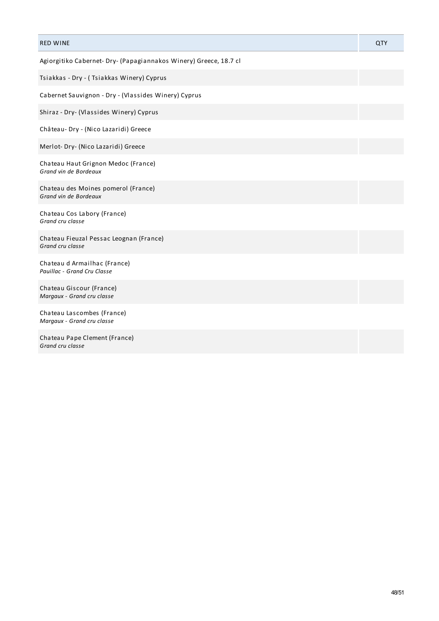| <b>RED WINE</b>                                                   | QTY |
|-------------------------------------------------------------------|-----|
| Agiorgitiko Cabernet- Dry- (Papagiannakos Winery) Greece, 18.7 cl |     |
| Tsiakkas - Dry - (Tsiakkas Winery) Cyprus                         |     |
| Cabernet Sauvignon - Dry - (Vlassides Winery) Cyprus              |     |
| Shiraz - Dry- (Vlassides Winery) Cyprus                           |     |
| Château- Dry - (Nico Lazaridi) Greece                             |     |
| Merlot- Dry- (Nico Lazaridi) Greece                               |     |
| Chateau Haut Grignon Medoc (France)<br>Grand vin de Bordeaux      |     |
| Chateau des Moines pomerol (France)<br>Grand vin de Bordeaux      |     |
| Chateau Cos Labory (France)<br>Grand cru classe                   |     |
| Chateau Fieuzal Pessac Leognan (France)<br>Grand cru classe       |     |
| Chateau d Armailhac (France)<br>Pauillac - Grand Cru Classe       |     |
| Chateau Giscour (France)<br>Margaux - Grand cru classe            |     |
| Chateau Lascombes (France)<br>Margaux - Grand cru classe          |     |
| Chateau Pape Clement (France)<br>Grand cru classe                 |     |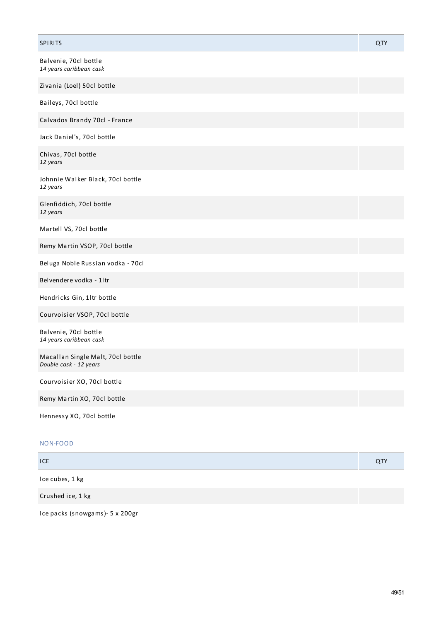| <b>SPIRITS</b>                                              | QTY |
|-------------------------------------------------------------|-----|
| Balvenie, 70cl bottle<br>14 years caribbean cask            |     |
| Zivania (Loel) 50cl bottle                                  |     |
| Baileys, 70cl bottle                                        |     |
| Calvados Brandy 70cl - France                               |     |
| Jack Daniel's, 70cl bottle                                  |     |
| Chivas, 70cl bottle<br>12 years                             |     |
| Johnnie Walker Black, 70cl bottle<br>12 years               |     |
| Glenfiddich, 70cl bottle<br>12 years                        |     |
| Martell VS, 70cl bottle                                     |     |
| Remy Martin VSOP, 70cl bottle                               |     |
| Beluga Noble Russian vodka - 70cl                           |     |
| Belvendere vodka - 1ltr                                     |     |
| Hendricks Gin, 1ltr bottle                                  |     |
| Courvoisier VSOP, 70cl bottle                               |     |
| Balvenie, 70cl bottle<br>14 years caribbean cask            |     |
| Macallan Single Malt, 70cl bottle<br>Double cask - 12 years |     |
| Courvoisier XO, 70cl bottle                                 |     |
| Remy Martin XO, 70cl bottle                                 |     |
| Hennessy XO, 70cl bottle                                    |     |

# NON-FOOD

| <b>ICE</b>      | QTY |
|-----------------|-----|
| Ice cubes, 1 kg |     |

Crushed ice, 1 kg

Ice packs (snowgams)- 5 x 200gr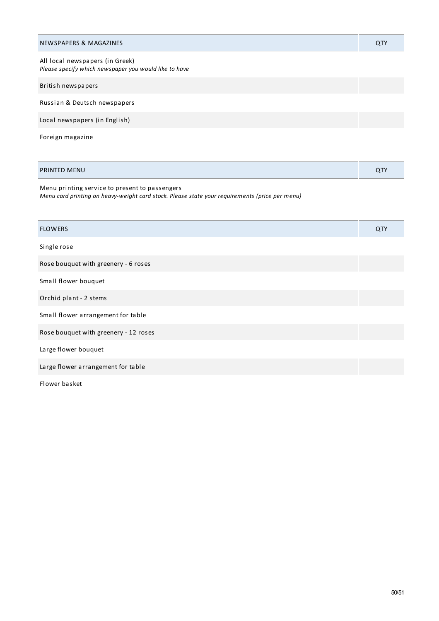| NEWSPAPERS & MAGAZINES                                                                   | QTY |
|------------------------------------------------------------------------------------------|-----|
| All local newspapers (in Greek)<br>Please specify which newspaper you would like to have |     |
| British newspapers                                                                       |     |
| Russian & Deutsch newspapers                                                             |     |
| Local newspapers (in English)                                                            |     |
| Foreign magazine                                                                         |     |

| <b>PRINTED MENU</b> | n TV |
|---------------------|------|
|---------------------|------|

Menu printing service to present to passengers *Menu card printing on heavy-weight card stock. Please state your requirements (price per menu)*

| <b>FLOWERS</b>                        | QTY |
|---------------------------------------|-----|
| Single rose                           |     |
| Rose bouquet with greenery - 6 roses  |     |
| Small flower bouquet                  |     |
| Orchid plant - 2 stems                |     |
| Small flower arrangement for table    |     |
| Rose bouquet with greenery - 12 roses |     |
| Large flower bouquet                  |     |
| Large flower arrangement for table    |     |
| Flower basket                         |     |